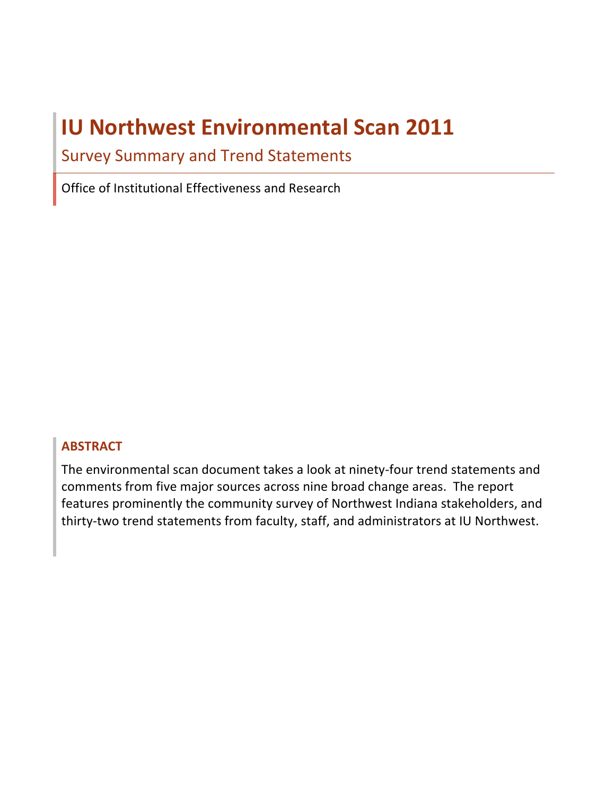# **IU Northwest Environmental Scan 2011**

**Survey Summary and Trend Statements** 

Office of Institutional Effectiveness and Research

### **ABSTRACT**

The environmental scan document takes a look at ninety-four trend statements and comments from five major sources across nine broad change areas. The report features prominently the community survey of Northwest Indiana stakeholders, and thirty-two trend statements from faculty, staff, and administrators at IU Northwest.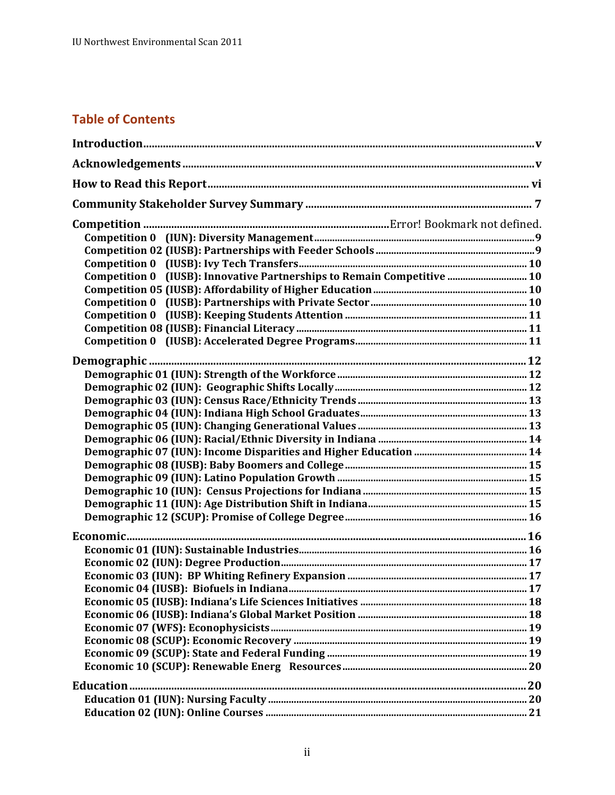# **Table of Contents**

| Competition 0 (IUSB): Innovative Partnerships to Remain Competitive  10 |  |
|-------------------------------------------------------------------------|--|
|                                                                         |  |
|                                                                         |  |
|                                                                         |  |
|                                                                         |  |
|                                                                         |  |
|                                                                         |  |
|                                                                         |  |
|                                                                         |  |
|                                                                         |  |
|                                                                         |  |
|                                                                         |  |
|                                                                         |  |
|                                                                         |  |
|                                                                         |  |
|                                                                         |  |
|                                                                         |  |
|                                                                         |  |
|                                                                         |  |
|                                                                         |  |
|                                                                         |  |
|                                                                         |  |
|                                                                         |  |
|                                                                         |  |
|                                                                         |  |
|                                                                         |  |
|                                                                         |  |
|                                                                         |  |
|                                                                         |  |
|                                                                         |  |
|                                                                         |  |
|                                                                         |  |
|                                                                         |  |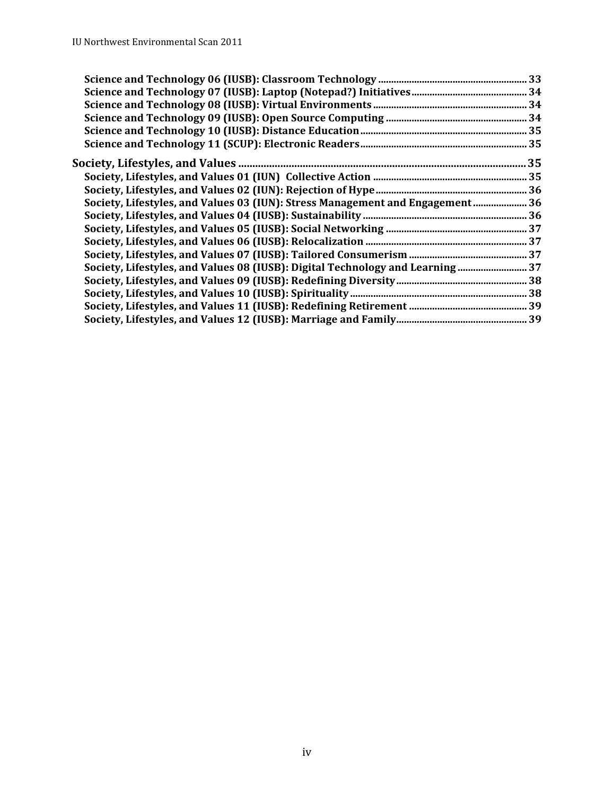| Society, Lifestyles, and Values 03 (IUN): Stress Management and Engagement 36 |  |
|-------------------------------------------------------------------------------|--|
|                                                                               |  |
|                                                                               |  |
|                                                                               |  |
|                                                                               |  |
|                                                                               |  |
|                                                                               |  |
|                                                                               |  |
|                                                                               |  |
|                                                                               |  |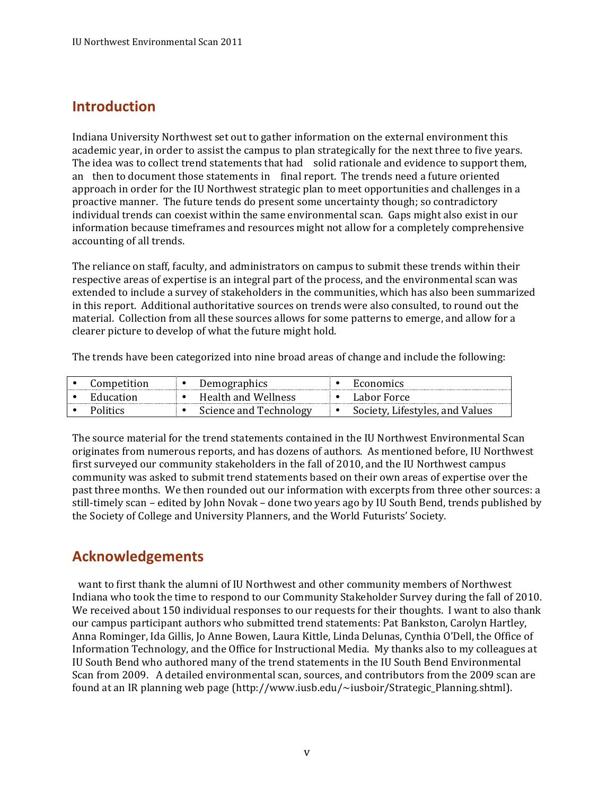# <span id="page-4-0"></span>**Introduction**

Indiana University Northwest set out to gather information on the external environment this academic year, in order to assist the campus to plan strategically for the next three to five years. The idea was to collect trend statements that had solid rationale and evidence to support them, an then to document those statements in final report. The trends need a future oriented approach in order for the IU Northwest strategic plan to meet opportunities and challenges in a proactive manner. The future tends do present some uncertainty though; so contradictory accounting of all trends. individual trends can coexist within the same environmental scan. Gaps might also exist in our information because timeframes and resources might not allow for a completely comprehensive

The reliance on staff, faculty, and administrators on campus to submit these trends within their respective areas of expertise is an integral part of the process, and the environmental scan was extended to include a survey of stakeholders in the communities, which has also been summarized in this report. Additional authoritative sources on trends were also consulted, to round out the material. Collection from all these sources allows for some patterns to emerge, and allow for a clearer picture to develop of what the future might hold.

The trends have been categorized into nine broad areas of change and include the following:

| Competition | <b>Demographics</b>    | Economics                       |
|-------------|------------------------|---------------------------------|
| Education   | Health and Wellness    | Labor Force                     |
| Politics    | Science and Technology | Society, Lifestyles, and Values |

The source material for the trend statements contained in the IU Northwest Environmental Scan originates from numerous reports, and has dozens of authors. As mentioned before, IU Northwest community was asked to submit trend statements based on their own areas of expertise over the past three months. We then rounded out our information with excerpts from three other sources: a still-timely scan – edited by John Novak – done two years ago by IU South Bend, trends published by the Society of College and University Planners, and the World Futurists' Society. first surveyed our community stakeholders in the fall of 2010, and the IU Northwest campus

# **Acknowledgements**

want to first thank the alumni of IU Northwest and other community members of Northwest Indiana who took the time to respond to our Community Stakeholder Survey during the fall of 2010. We received about 150 individual responses to our requests for their thoughts. I want to also thank our campus participant authors who submitted trend statements: Pat Bankston, Carolyn Hartley, Anna Rominger, Ida Gillis, Jo Anne Bowen, Laura Kittle, Linda Delunas, Cynthia O'Dell, the Office of Information Technology, and the Office for Instructional Media. My thanks also to my colleagues at IU South Bend who authored many of the trend statements in the IU South Bend Environmental Scan from 2009. A detailed environmental scan, sources, and contributors from the 2009 scan are found at an IR planning web page (http://www.iusb.edu/~iusboir/Strategic\_Planning.shtml).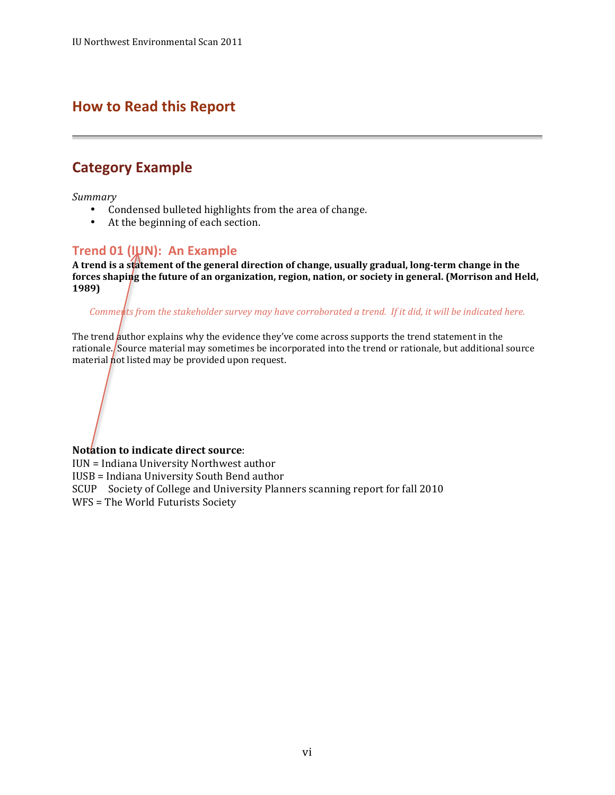# <span id="page-5-0"></span> **How to Read this Report**

# **Category Example**

*Summary*

- Condensed bulleted highlights from the area of change.
- At the beginning of each section.

### **Trend 01 (IUN): An Example**

A trend is a statement of the general direction of change, usually gradual, long-term change in the  **forces shaping the future of an organization, region, nation, or society in general. (Morrison and Held, 1989)**

*Comments from the stakeholder survey may have corroborated a trend. If it did, it will be indicated here.* 

The trend *author explains why the evidence they've come across supports the trend statement in the* material not listed may be provided upon request. rationale./Source material may sometimes be incorporated into the trend or rationale, but additional source

#### **Notation to indicate direct source**:

IUN = Indiana University Northwest author IUSB = Indiana University South Bend author SCUP Society of College and University Planners scanning report for fall 2010 WFS = The World Futurists Society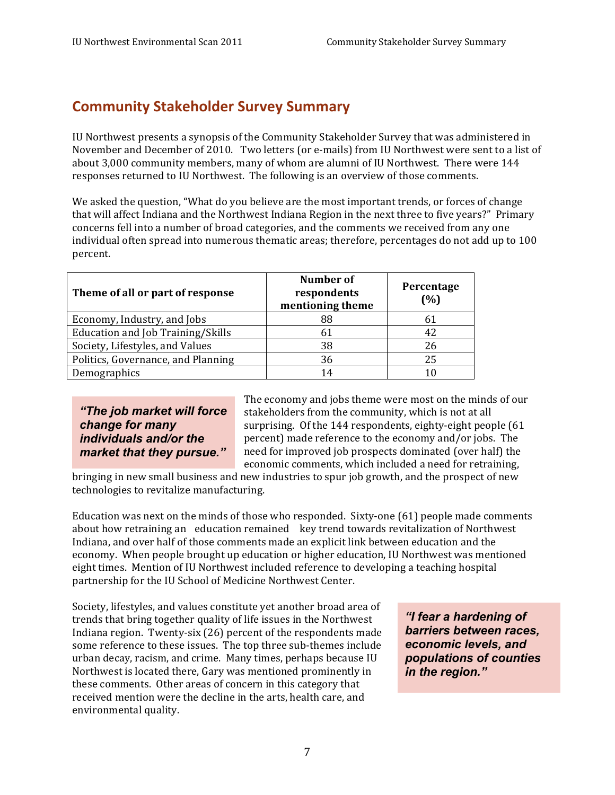# **Community Stakeholder Survey Summary**

IU Northwest presents a synopsis of the Community Stakeholder Survey that was administered in November and December of 2010. Two letters (or e-mails) from IU Northwest were sent to a list of about 3,000 community members, many of whom are alumni of IU Northwest. There were 144 responses returned to IU Northwest. The following is an overview of those comments.

 We asked the question, "What do you believe are the most important trends, or forces of change that will affect Indiana and the Northwest Indiana Region in the next three to five years?" Primary concerns fell into a number of broad categories, and the comments we received from any one individual often spread into numerous thematic areas; therefore, percentages do not add up to 100 percent.

| Theme of all or part of response   | <b>Number of</b><br>respondents<br>mentioning theme | Percentage<br>(%) |
|------------------------------------|-----------------------------------------------------|-------------------|
| Economy, Industry, and Jobs        | 88                                                  | 61                |
| Education and Job Training/Skills  | 61                                                  | 42                |
| Society, Lifestyles, and Values    | 38                                                  | 26                |
| Politics, Governance, and Planning | 36                                                  | 25                |
| Demographics                       | 14                                                  | 10                |

market that they pursue."

The economy and jobs theme were most on the minds of our "The job market will force stakeholders from the community, which is not at all *change for many* surprising. Of the 144 respondents, eighty-eight people (61) *individuals and/or the* percent) made reference to the economy and/or jobs. The **market that they pursue."** need for improved job prospects dominated (over half) the economic comments, which included a need for retraining,

bringing in new small business and new industries to spur job growth, and the prospect of new technologies to revitalize manufacturing.

Education was next on the minds of those who responded. Sixty-one (61) people made comments about how retraining an education remained key trend towards revitalization of Northwest Indiana, and over half of those comments made an explicit link between education and the economy. When people brought up education or higher education, IU Northwest was mentioned eight times. Mention of IU Northwest included reference to developing a teaching hospital partnership for the IU School of Medicine Northwest Center.

Society, lifestyles, and values constitute yet another broad area of trends that bring together quality of life issues in the Northwest **If the are a hardening of** Indiana region. Twenty-six (26) percent of the respondents made *barriers between races,* some reference to these issues. The top three sub-themes include **economic levels, and** urban decay, racism, and crime. Many times, perhaps because IU **populations of counties**  Northwest is located there, Gary was mentioned prominently in *in the region."*  these comments. Other areas of concern in this category that received mention were the decline in the arts, health care, and environmental quality.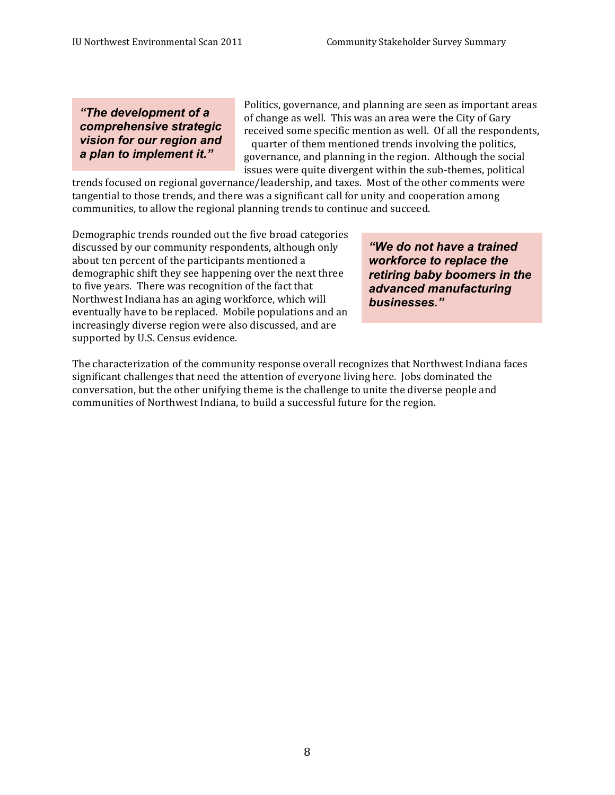Politics, governance, and planning are seen as important areas of change as well. This was an area were the City of Gary some specific mention as well. Of all the quarter of them mentioned trends involving the politics, governance, and planning in the region. Although the social issues were quite divergent within the sub-themes, political **EXECUTE:** Politics, governance, and planning are seen as important areas<br> **Comprehensive strategic**<br> **Comprehensive strategic**<br> **Comprehensive strategic**<br> **Comprehensive strategic**<br> **Comprehensive strategic**<br> **Comprehensi** 

trends focused on regional governance/leadership, and taxes. Most of the other comments were tangential to those trends, and there was a significant call for unity and cooperation among communities, to allow the regional planning trends to continue and succeed.

 Demographic trends rounded out the five broad categories about ten percent of the participants mentioned a *workforce to replace the* demographic shift they see happening over the next three *retiring baby boomers in the* to five years. There was recognition of the fact that to five years. There was recognition of the fact that **advanced manufacturing Northwest Indiana has an aging workforce, which will** *businesses."* eventually have to be replaced. Mobile populations and an supported by U.S. Census evidence. discussed by our community respondents, although only *"We do not have a trained* increasingly diverse region were also discussed, and are

The characterization of the community response overall recognizes that Northwest Indiana faces significant challenges that need the attention of everyone living here. Jobs dominated the conversation, but the other unifying theme is the challenge to unite the diverse people and communities of Northwest Indiana, to build a successful future for the region.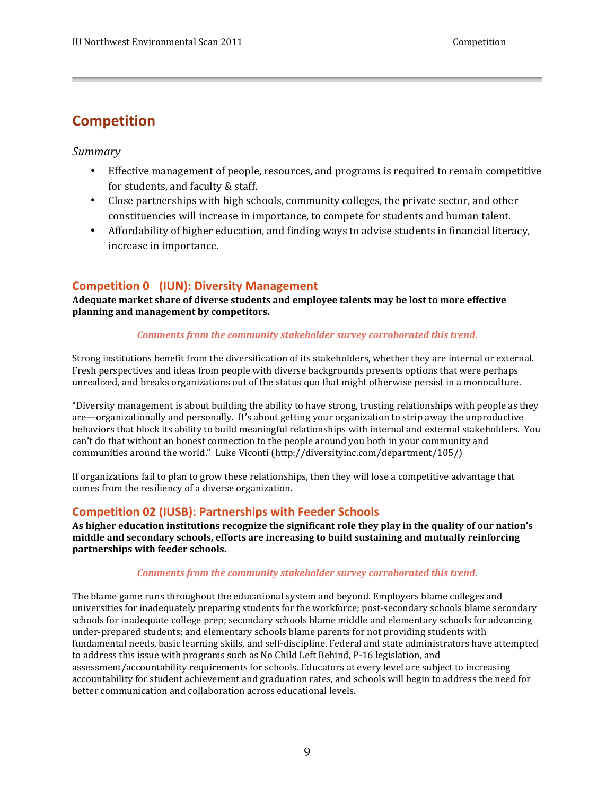# <span id="page-8-0"></span>**Competition**

#### *Summary*

- Effective management of people, resources, and programs is required to remain competitive for students, and faculty & staff.
- constituencies will increase in importance, to compete for students and human talent. • Close partnerships with high schools, community colleges, the private sector, and other
- Affordability of higher education, and finding ways to advise students in financial literacy, increase in importance.

### **Competition 0 (IUN): Diversity Management**

 **Adequate market share of diverse students and employee talents may be lost to more effective planning and management by competitors.** 

#### *Comments from the community stakeholder survey corroborated this trend.*

Fresh perspectives and ideas from people with diverse backgrounds presents options that were perhaps unrealized, and breaks organizations out of the status quo that might otherwise persist in a monoculture. Strong institutions benefit from the diversification of its stakeholders, whether they are internal or external.

"Diversity management is about building the ability to have strong, trusting relationships with people as they are—organizationally and personally. It's about getting your organization to strip away the unproductive behaviors that block its ability to build meaningful relationships with internal and external stakeholders. You can't do that without an honest connection to the people around you both in your community and communities around the world." Luke Viconti (http://diversityinc.com/department/105/)

If organizations fail to plan to grow these relationships, then they will lose a competitive advantage that comes from the resiliency of a diverse organization.

### **Competition 02 (IUSB): Partnerships with Feeder Schools**

As higher education institutions recognize the significant role they play in the quality of our nation's  **middle and secondary schools, efforts are increasing to build sustaining and mutually reinforcing partnerships with feeder schools.**

#### *Comments from the community stakeholder survey corroborated this trend.*

The blame game runs throughout the educational system and beyond. Employers blame colleges and universities for inadequately preparing students for the workforce; post-secondary schools blame secondary schools for inadequate college prep; secondary schools blame middle and elementary schools for advancing under-prepared students; and elementary schools blame parents for not providing students with to address this issue with programs such as No Child Left Behind, P-16 legislation, and assessment/accountability requirements for schools. Educators at every level are subject to increasing accountability for student achievement and graduation rates, and schools will begin to address the need for better communication and collaboration across educational levels. fundamental needs, basic learning skills, and self-discipline. Federal and state administrators have attempted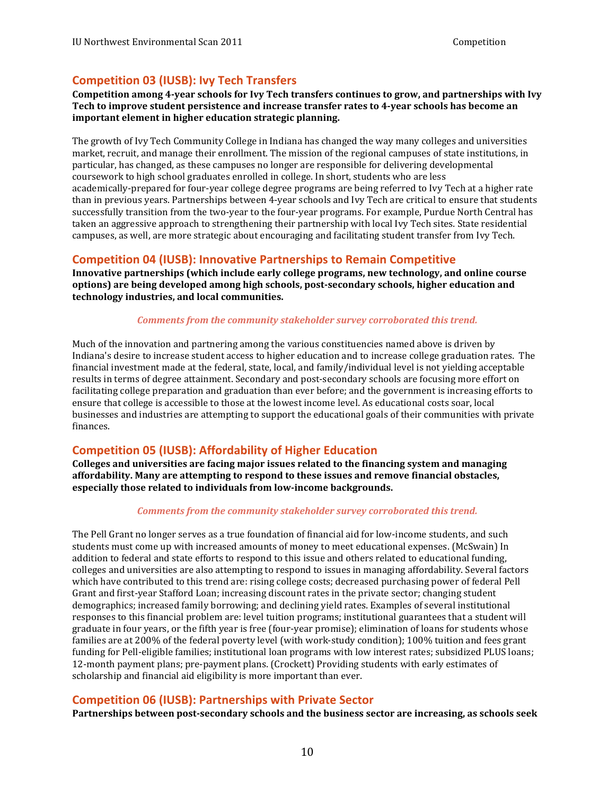### <span id="page-9-0"></span> **Competition 03 (IUSB): Ivy Tech Transfers**

 **Competition among 4-year schools for Ivy Tech transfers continues to grow, and partnerships with Ivy Tech to improve student persistence and increase transfer rates to 4-year schools has become an important element in higher education strategic planning.**

The growth of Ivy Tech Community College in Indiana has changed the way many colleges and universities market, recruit, and manage their enrollment. The mission of the regional campuses of state institutions, in particular, has changed, as these campuses no longer are responsible for delivering developmental coursework to high school graduates enrolled in college. In short, students who are less academically-prepared for four-year college degree programs are being referred to Ivy Tech at a higher rate than in previous years. Partnerships between 4-year schools and Ivy Tech are critical to ensure that students successfully transition from the two-year to the four-year programs. For example, Purdue North Central has taken an aggressive approach to strengthening their partnership with local Ivy Tech sites. State residential campuses, as well, are more strategic about encouraging and facilitating student transfer from Ivy Tech.

### **Competition 04 (IUSB): Innovative Partnerships to Remain Competitive**

 **options) are being developed among high schools, post-secondary schools, higher education and technology industries, and local communities.** Innovative partnerships (which include early college programs, new technology, and online course

#### *Comments from the community stakeholder survey corroborated this trend.*

 Much of the innovation and partnering among the various constituencies named above is driven by ensure that college is accessible to those at the lowest income level. As educational costs soar, local businesses and industries are attempting to support the educational goals of their communities with private Indiana's desire to increase student access to higher education and to increase college graduation rates. The financial investment made at the federal, state, local, and family/individual level is not vielding acceptable results in terms of degree attainment. Secondary and post-secondary schools are focusing more effort on facilitating college preparation and graduation than ever before; and the government is increasing efforts to finances.

### **Competition 05 (IUSB): Affordability of Higher Education**

 **Colleges and universities are facing major issues related to the financing system and managing affordability. Many are attempting to respond to these issues and remove financial obstacles, especially those related to individuals from low-income backgrounds.**

#### *Comments from the community stakeholder survey corroborated this trend.*

The Pell Grant no longer serves as a true foundation of financial aid for low-income students, and such students must come up with increased amounts of money to meet educational expenses. (McSwain) In addition to federal and state efforts to respond to this issue and others related to educational funding, colleges and universities are also attempting to respond to issues in managing affordability. Several factors which have contributed to this trend are: rising college costs; decreased purchasing power of federal Pell Grant and first-year Stafford Loan; increasing discount rates in the private sector; changing student demographics; increased family borrowing; and declining yield rates. Examples of several institutional responses to this financial problem are: level tuition programs; institutional guarantees that a student will graduate in four years, or the fifth year is free (four-year promise); elimination of loans for students whose families are at 200% of the federal poverty level (with work-study condition); 100% tuition and fees grant 12-month payment plans; pre-payment plans. (Crockett) Providing students with early estimates of scholarship and financial aid eligibility is more important than ever. funding for Pell-eligible families; institutional loan programs with low interest rates; subsidized PLUS loans;

### **Competition 06 (IUSB): Partnerships with Private Sector**

**Partnerships between post-secondary schools and the business sector are increasing, as schools seek**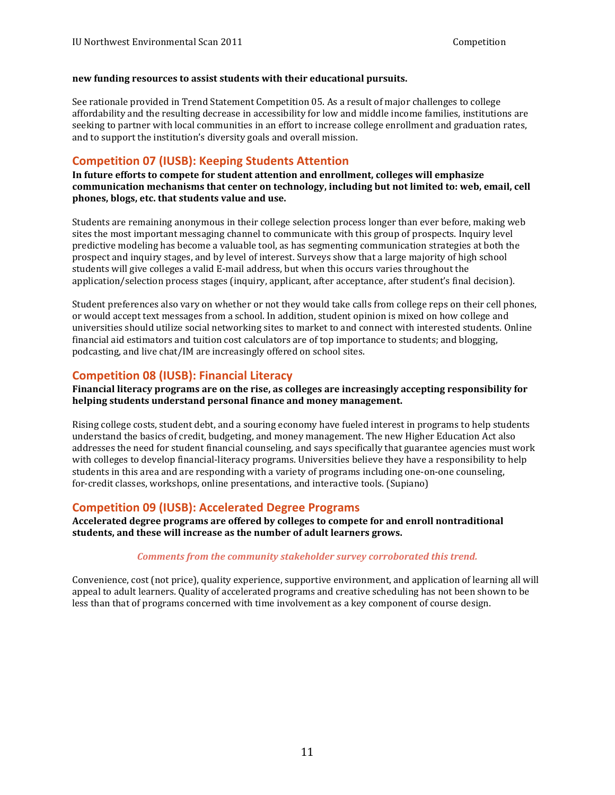#### <span id="page-10-0"></span> **new funding resources to assist students with their educational pursuits.**

See rationale provided in Trend Statement Competition 05. As a result of major challenges to college affordability and the resulting decrease in accessibility for low and middle income families, institutions are seeking to partner with local communities in an effort to increase college enrollment and graduation rates, and to support the institution's diversity goals and overall mission.

#### **Competition 07 (IUSB): Keeping Students Attention**

In future efforts to compete for student attention and enrollment, colleges will emphasize  **communication mechanisms that center on technology, including but not limited to: web, email, cell phones, blogs, etc. that students value and use.**

sites the most important messaging channel to communicate with this group of prospects. Inquiry level predictive modeling has become a valuable tool, as has segmenting communication strategies at both the prospect and inquiry stages, and by level of interest. Surveys show that a large majority of high school students will give colleges a valid E-mail address, but when this occurs varies throughout the application/selection process stages (inquiry, applicant, after acceptance, after student's final decision). Students are remaining anonymous in their college selection process longer than ever before, making web

Student preferences also vary on whether or not they would take calls from college reps on their cell phones, or would accept text messages from a school. In addition, student opinion is mixed on how college and universities should utilize social networking sites to market to and connect with interested students. Online podcasting, and live chat/IM are increasingly offered on school sites. financial aid estimators and tuition cost calculators are of top importance to students; and blogging,

### **Competition 08 (IUSB): Financial Literacy**

 **Financial literacy programs are on the rise, as colleges are increasingly accepting responsibility for helping students understand personal finance and money management.**

Rising college costs, student debt, and a souring economy have fueled interest in programs to help students understand the basics of credit, budgeting, and money management. The new Higher Education Act also addresses the need for student financial counseling, and says specifically that guarantee agencies must work with colleges to develop financial-literacy programs. Universities believe they have a responsibility to help students in this area and are responding with a variety of programs including one-on-one counseling, for-credit classes, workshops, online presentations, and interactive tools. (Supiano)

#### **Competition 09 (IUSB): Accelerated Degree Programs**

 **Accelerated degree programs are offered by colleges to compete for and enroll nontraditional students, and these will increase as the number of adult learners grows.**

#### *Comments from the community stakeholder survey corroborated this trend.*

Convenience, cost (not price), quality experience, supportive environment, and application of learning all will appeal to adult learners. Quality of accelerated programs and creative scheduling has not been shown to be less than that of programs concerned with time involvement as a key component of course design.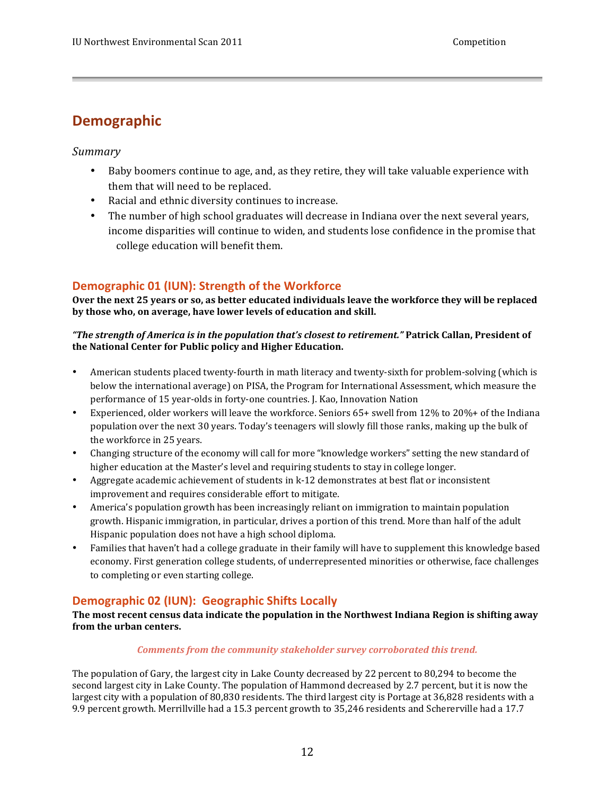# <span id="page-11-0"></span>**Demographic**

#### *Summary*

- Baby boomers continue to age, and, as they retire, they will take valuable experience with them that will need to be replaced.
- Racial and ethnic diversity continues to increase.
- The number of high school graduates will decrease in Indiana over the next several years, college education will benefit them. income disparities will continue to widen, and students lose confidence in the promise that

### **Demographic 01 (IUN): Strength of the Workforce**

 **Over the next 25 years or so, as better educated individuals leave the workforce they will be replaced by those who, on average, have lower levels of education and skill.**

#### **the National Center for Public policy and Higher Education.** *"The strength of America is in the population that's closest to retirement."* **Patrick Callan, President of**

- American students placed twenty-fourth in math literacy and twenty-sixth for problem-solving (which is below the international average) on PISA, the Program for International Assessment, which measure the performance of 15 year-olds in forty-one countries. J. Kao, Innovation Nation
- Experienced, older workers will leave the workforce. Seniors 65+ swell from 12% to 20%+ of the Indiana population over the next 30 years. Today's teenagers will slowly fill those ranks, making up the bulk of the workforce in 25 years.
- Changing structure of the economy will call for more "knowledge workers" setting the new standard of higher education at the Master's level and requiring students to stay in college longer.
- Aggregate academic achievement of students in k-12 demonstrates at best flat or inconsistent improvement and requires considerable effort to mitigate.
- America's population growth has been increasingly reliant on immigration to maintain population growth. Hispanic immigration, in particular, drives a portion of this trend. More than half of the adult Hispanic population does not have a high school diploma.
- Families that haven't had a college graduate in their family will have to supplement this knowledge based economy. First generation college students, of underrepresented minorities or otherwise, face challenges to completing or even starting college.

### **Demographic 02 (IUN): Geographic Shifts Locally**

The most recent census data indicate the population in the Northwest Indiana Region is shifting away  **from the urban centers.**

#### *Comments from the community stakeholder survey corroborated this trend.*

The population of Gary, the largest city in Lake County decreased by 22 percent to 80,294 to become the second largest city in Lake County. The population of Hammond decreased by 2.7 percent, but it is now the largest city with a population of 80,830 residents. The third largest city is Portage at 36,828 residents with a 9.9 percent growth. Merrillville had a 15.3 percent growth to 35,246 residents and Schererville had a 17.7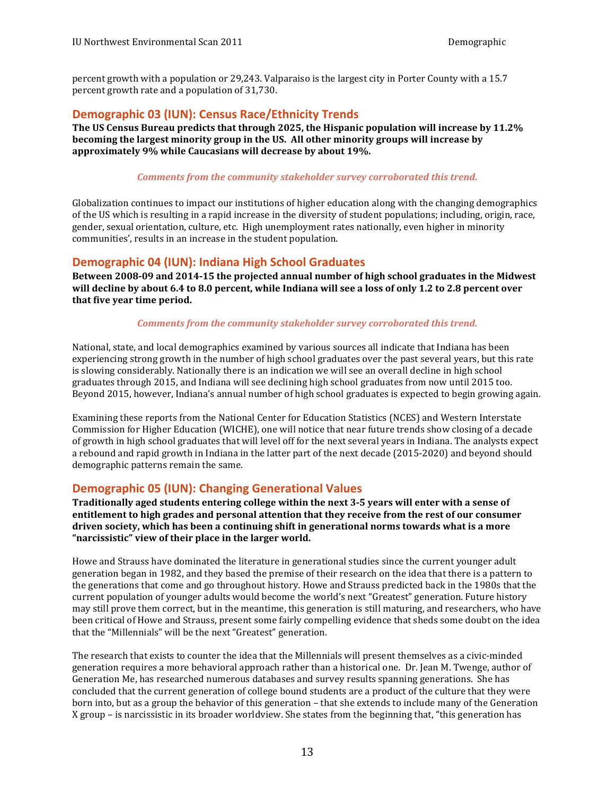<span id="page-12-0"></span>percent growth with a population or 29,243. Valparaiso is the largest city in Porter County with a 15.7 percent growth rate and a population of 31,730.

### **Demographic 03 (IUN): Census Race/Ethnicity Trends**

The US Census Bureau predicts that through 2025, the Hispanic population will increase by 11.2% **becoming the largest minority group in the US. All other minority groups will increase by approximately 9% while Caucasians will decrease by about 19%.**

#### *Comments from the community stakeholder survey corroborated this trend.*

Globalization continues to impact our institutions of higher education along with the changing demographics of the US which is resulting in a rapid increase in the diversity of student populations; including, origin, race, gender, sexual orientation, culture, etc. High unemployment rates nationally, even higher in minority communities', results in an increase in the student population.

### **Demographic 04 (IUN): Indiana High School Graduates**

Between 2008-09 and 2014-15 the projected annual number of high school graduates in the Midwest  **will decline by about 6.4 to 8.0 percent, while Indiana will see a loss of only 1.2 to 2.8 percent over that five year time period.**

#### *Comments from the community stakeholder survey corroborated this trend.*

 National, state, and local demographics examined by various sources all indicate that Indiana has been experiencing strong growth in the number of high school graduates over the past several years, but this rate graduates through 2015, and Indiana will see declining high school graduates from now until 2015 too. Beyond 2015, however, Indiana's annual number of high school graduates is expected to begin growing again. is slowing considerably. Nationally there is an indication we will see an overall decline in high school

Examining these reports from the National Center for Education Statistics (NCES) and Western Interstate Commission for Higher Education (WICHE), one will notice that near future trends show closing of a decade of growth in high school graduates that will level off for the next several years in Indiana. The analysts expect a rebound and rapid growth in Indiana in the latter part of the next decade (2015-2020) and beyond should demographic patterns remain the same.

#### **Demographic 05 (IUN): Changing Generational Values**

Traditionally aged students entering college within the next 3-5 years will enter with a sense of  **entitlement to high grades and personal attention that they receive from the rest of our consumer**  driven society, which has been a continuing shift in generational norms towards what is a more  **"narcissistic" view of their place in the larger world.**

Howe and Strauss have dominated the literature in generational studies since the current younger adult generation began in 1982, and they based the premise of their research on the idea that there is a pattern to the generations that come and go throughout history. Howe and Strauss predicted back in the 1980s that the current population of younger adults would become the world's next "Greatest" generation. Future history may still prove them correct, but in the meantime, this generation is still maturing, and researchers, who have been critical of Howe and Strauss, present some fairly compelling evidence that sheds some doubt on the idea that the "Millennials" will be the next "Greatest" generation.

The research that exists to counter the idea that the Millennials will present themselves as a civic-minded generation requires a more behavioral approach rather than a historical one. Dr. Jean M. Twenge, author of Generation Me, has researched numerous databases and survey results spanning generations. She has born into, but as a group the behavior of this generation – that she extends to include many of the Generation concluded that the current generation of college bound students are a product of the culture that they were X group – is narcissistic in its broader worldview. She states from the beginning that, "this generation has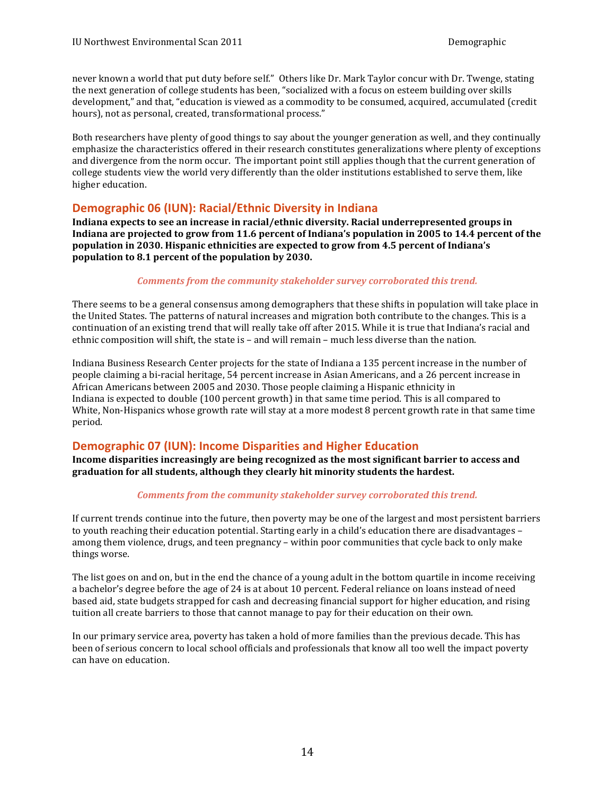<span id="page-13-0"></span>never known a world that put duty before self." Others like Dr. Mark Taylor concur with Dr. Twenge, stating the next generation of college students has been, "socialized with a focus on esteem building over skills development," and that, "education is viewed as a commodity to be consumed, acquired, accumulated (credit hours), not as personal, created, transformational process."

 Both researchers have plenty of good things to say about the younger generation as well, and they continually emphasize the characteristics offered in their research constitutes generalizations where plenty of exceptions and divergence from the norm occur. The important point still applies though that the current generation of college students view the world very differently than the older institutions established to serve them, like higher education.

#### **Demographic 06 (IUN): Racial/Ethnic Diversity in Indiana**

 **population in 2030. Hispanic ethnicities are expected to grow from 4.5 percent of Indiana's population to 8.1 percent of the population by 2030. Indiana expects to see an increase in racial/ethnic diversity. Racial underrepresented groups in** Indiana are projected to grow from 11.6 percent of Indiana's population in 2005 to 14.4 percent of the

#### *Comments from the community stakeholder survey corroborated this trend.*

There seems to be a general consensus among demographers that these shifts in population will take place in the United States. The patterns of natural increases and migration both contribute to the changes. This is a continuation of an existing trend that will really take off after 2015. While it is true that Indiana's racial and ethnic composition will shift, the state is - and will remain - much less diverse than the nation.

Indiana Business Research Center projects for the state of Indiana a 135 percent increase in the number of people claiming a bi-racial heritage, 54 percent increase in Asian Americans, and a 26 percent increase in African Americans between 2005 and 2030. Those people claiming a Hispanic ethnicity in Indiana is expected to double (100 percent growth) in that same time period. This is all compared to White, Non-Hispanics whose growth rate will stay at a more modest 8 percent growth rate in that same time period.

### **Demographic 07 (IUN): Income Disparities and Higher Education**

 **graduation for all students, although they clearly hit minority students the hardest. Income disparities increasingly are being recognized as the most significant barrier to access and** 

#### *Comments from the community stakeholder survey corroborated this trend.*

If current trends continue into the future, then poverty may be one of the largest and most persistent barriers to youth reaching their education potential. Starting early in a child's education there are disadvantages – among them violence, drugs, and teen pregnancy – within poor communities that cycle back to only make things worse.

The list goes on and on, but in the end the chance of a young adult in the bottom quartile in income receiving a bachelor's degree before the age of 24 is at about 10 percent. Federal reliance on loans instead of need based aid, state budgets strapped for cash and decreasing financial support for higher education, and rising tuition all create barriers to those that cannot manage to pay for their education on their own.

In our primary service area, poverty has taken a hold of more families than the previous decade. This has been of serious concern to local school officials and professionals that know all too well the impact poverty can have on education.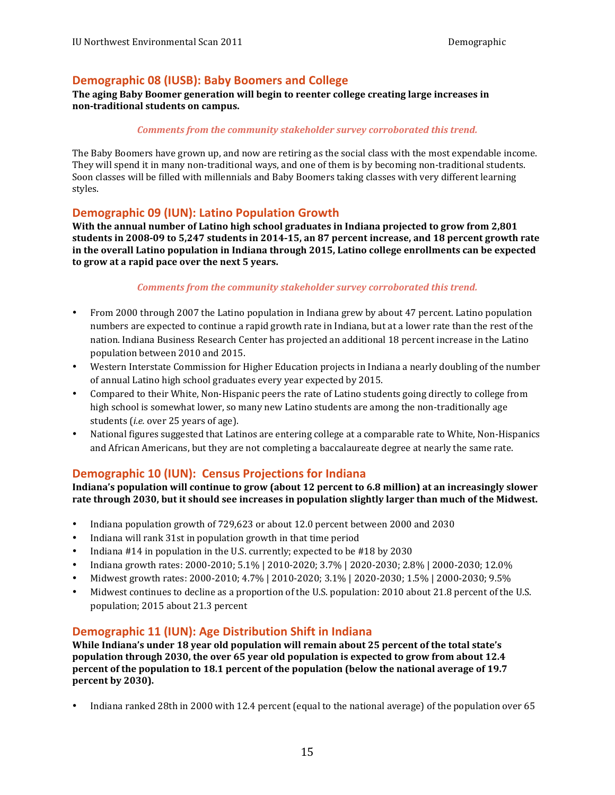### <span id="page-14-0"></span> **Demographic 08 (IUSB): Baby Boomers and College**

#### **The aging Baby Boomer generation will begin to reenter college creating large increases in non‐traditional students on campus.**

#### *Comments from the community stakeholder survey corroborated this trend.*

The Baby Boomers have grown up, and now are retiring as the social class with the most expendable income. They will spend it in many non-traditional ways, and one of them is by becoming non-traditional students. Soon classes will be filled with millennials and Baby Boomers taking classes with very different learning styles.

### **Demographic 09 (IUN): Latino Population Growth**

With the annual number of Latino high school graduates in Indiana projected to grow from 2,801  **students in 2008‐09 to 5,247 students in 2014‐15, an 87 percent increase, and 18 percent growth rate in the overall Latino population in Indiana through 2015, Latino college enrollments can be expected to** grow at a rapid pace over the next 5 years.

#### *Comments from the community stakeholder survey corroborated this trend.*

- From 2000 through 2007 the Latino population in Indiana grew by about 47 percent. Latino population numbers are expected to continue a rapid growth rate in Indiana, but at a lower rate than the rest of the nation. Indiana Business Research Center has projected an additional 18 percent increase in the Latino population between 2010 and 2015.
- Western Interstate Commission for Higher Education projects in Indiana a nearly doubling of the number of annual Latino high school graduates every year expected by 2015.
- Compared to their White, Non-Hispanic peers the rate of Latino students going directly to college from high school is somewhat lower, so many new Latino students are among the non-traditionally age students (*i.e.* over 25 years of age).
- National figures suggested that Latinos are entering college at a comparable rate to White, Non-Hispanics and African Americans, but they are not completing a baccalaureate degree at nearly the same rate.

### **Demographic 10 (IUN): Census Projections for Indiana**

Indiana's population will continue to grow (about 12 percent to 6.8 million) at an increasingly slower **rate through 2030, but it should see increases in population slightly larger than much of the Midwest.**

- Indiana population growth of 729,623 or about 12.0 percent between 2000 and 2030
- Indiana will rank 31st in population growth in that time period
- Indiana  $#14$  in population in the U.S. currently; expected to be  $#18$  by 2030
- Indiana growth rates: 2000-2010; 5.1% | 2010-2020; 3.7% | 2020-2030; 2.8% | 2000-2030; 12.0%
- Midwest growth rates: 2000-2010; 4.7% | 2010-2020; 3.1% | 2020-2030; 1.5% | 2000-2030; 9.5%
- Midwest continues to decline as a proportion of the U.S. population: 2010 about 21.8 percent of the U.S. population; 2015 about 21.3 percent

### **Demographic 11 (IUN): Age Distribution Shift in Indiana**

 **While Indiana's under 18 year old population will remain about 25 percent of the total state's population through 2030, the over 65 year old population is expected to grow from about 12.4**  percent of the population to 18.1 percent of the population (below the national average of 19.7  **percent by 2030).**

• Indiana ranked 28th in 2000 with 12.4 percent (equal to the national average) of the population over 65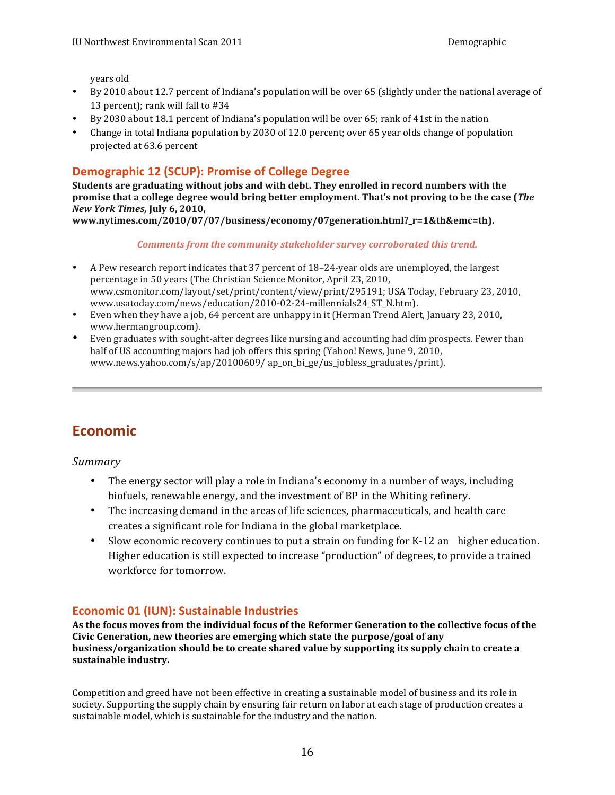years old

- <span id="page-15-0"></span> • By 2010 about 12.7 percent of Indiana's population will be over 65 (slightly under the national average of 13 percent); rank will fall to #34
- By 2030 about 18.1 percent of Indiana's population will be over 65; rank of 41st in the nation
- Change in total Indiana population by 2030 of 12.0 percent; over 65 year olds change of population projected at 63.6 percent

### **Demographic 12 (SCUP): Promise of College Degree**

 **Students are graduating without jobs and with debt. They enrolled in record numbers with the**  promise that a college degree would bring better employment. That's not proving to be the case (The *New York Times,* **July 6, 2010,**

**www.nytimes.com/2010/07/07/business/economy/07generation.html?\_r=1&th&emc=th).**

*Comments from the community stakeholder survey corroborated this trend.* 

- A Pew research report indicates that 37 percent of 18-24-year olds are unemployed, the largest percentage in 50 years (The Christian Science Monitor, April 23, 2010, www.csmonitor.com/layout/set/print/content/view/print/295191; USA Today, February 23, 2010, www.usatoday.com/news/education/2010-02-24-millennials24\_ST\_N.htm).
- Even when they have a job, 64 percent are unhappy in it (Herman Trend Alert, January 23, 2010, www.hermangroup.com).
- Even graduates with sought-after degrees like nursing and accounting had dim prospects. Fewer than half of US accounting majors had job offers this spring (Yahoo! News, June 9, 2010, www.news.yahoo.com/s/ap/20100609/ ap\_on\_bi\_ge/us\_jobless\_graduates/print).

# **Economic**

*Summary*

- The energy sector will play a role in Indiana's economy in a number of ways, including biofuels, renewable energy, and the investment of BP in the Whiting refinery.
- The increasing demand in the areas of life sciences, pharmaceuticals, and health care creates a significant role for Indiana in the global marketplace.
- Slow economic recovery continues to put a strain on funding for K-12 an higher education. Higher education is still expected to increase "production" of degrees, to provide a trained workforce for tomorrow.

### **Economic 01 (IUN): Sustainable Industries**

As the focus moves from the individual focus of the Reformer Generation to the collective focus of the  **Civic Generation, new theories are emerging which state the purpose/goal of any business/organization should be to create shared value by supporting its supply chain to create a**  sustainable industry.

Competition and greed have not been effective in creating a sustainable model of business and its role in society. Supporting the supply chain by ensuring fair return on labor at each stage of production creates a sustainable model, which is sustainable for the industry and the nation.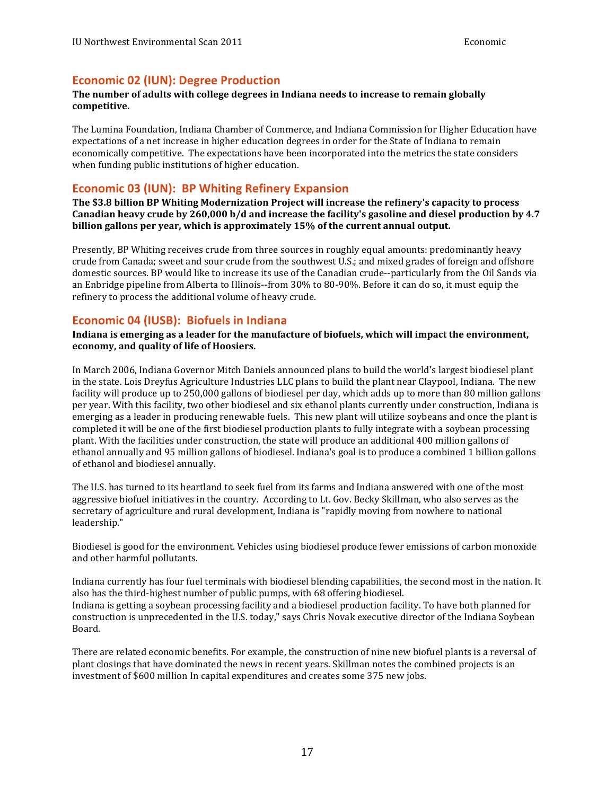#### <span id="page-16-0"></span>**Economic 02 (IUN): Degree Production**

#### **The number of adults with college degrees in Indiana needs to increase to remain globally competitive.**

The Lumina Foundation, Indiana Chamber of Commerce, and Indiana Commission for Higher Education have expectations of a net increase in higher education degrees in order for the State of Indiana to remain economically competitive. The expectations have been incorporated into the metrics the state considers when funding public institutions of higher education.

### **Economic 03 (IUN): BP Whiting Refinery Expansion**

 **The \$3.8 billion BP Whiting Modernization Project will increase the refinery's capacity to process** Canadian heavy crude by 260,000 b/d and increase the facility's gasoline and diesel production by 4.7  **billion gallons per year, which is approximately 15% of the current annual output.**

Presently, BP Whiting receives crude from three sources in roughly equal amounts: predominantly heavy crude from Canada; sweet and sour crude from the southwest U.S.; and mixed grades of foreign and offshore domestic sources. BP would like to increase its use of the Canadian crude--particularly from the Oil Sands via an Enbridge pipeline from Alberta to Illinois--from 30% to 80-90%. Before it can do so, it must equip the refinery to process the additional volume of heavy crude.

#### **Economic 04 (IUSB): Biofuels in Indiana**

Indiana is emerging as a leader for the manufacture of biofuels, which will impact the environment,  **economy, and quality of life of Hoosiers.**

In March 2006, Indiana Governor Mitch Daniels announced plans to build the world's largest biodiesel plant in the state. Lois Dreyfus Agriculture Industries LLC plans to build the plant near Claypool, Indiana. The new per year. With this facility, two other biodiesel and six ethanol plants currently under construction, Indiana is emerging as a leader in producing renewable fuels. This new plant will utilize soybeans and once the plant is completed it will be one of the first biodiesel production plants to fully integrate with a soybean processing plant. With the facilities under construction, the state will produce an additional 400 million gallons of ethanol annually and 95 million gallons of biodiesel. Indiana's goal is to produce a combined 1 billion gallons of ethanol and biodiesel annually. facility will produce up to 250,000 gallons of biodiesel per day, which adds up to more than 80 million gallons

The U.S. has turned to its heartland to seek fuel from its farms and Indiana answered with one of the most aggressive biofuel initiatives in the country. According to Lt. Gov. Becky Skillman, who also serves as the secretary of agriculture and rural development, Indiana is "rapidly moving from nowhere to national leadership."

 Biodiesel is good for the environment. Vehicles using biodiesel produce fewer emissions of carbon monoxide and other harmful pollutants.

Indiana currently has four fuel terminals with biodiesel blending capabilities, the second most in the nation. It also has the third-highest number of public pumps, with 68 offering biodiesel. Indiana is getting a soybean processing facility and a biodiesel production facility. To have both planned for construction is unprecedented in the U.S. today," says Chris Novak executive director of the Indiana Soybean Board.

There are related economic benefits. For example, the construction of nine new biofuel plants is a reversal of plant closings that have dominated the news in recent years. Skillman notes the combined projects is an investment of \$600 million In capital expenditures and creates some 375 new jobs.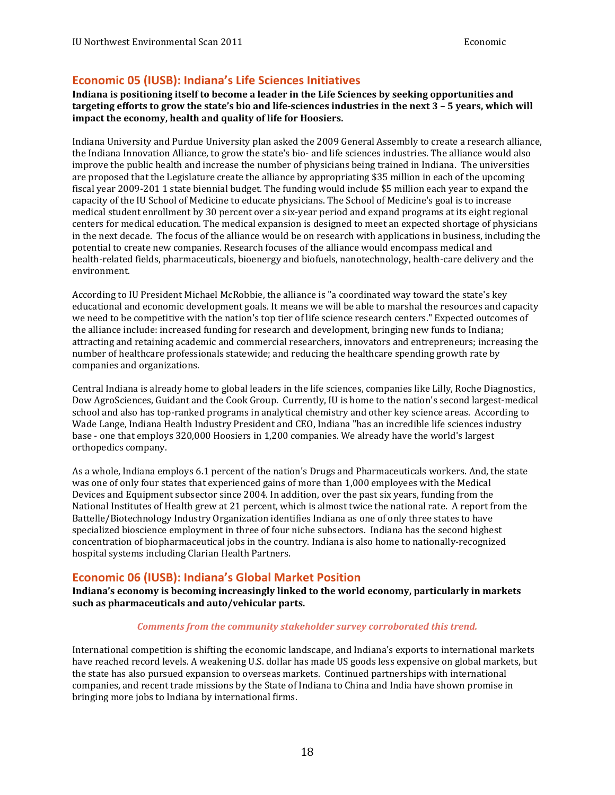### <span id="page-17-0"></span>**Economic 05 (IUSB): Indiana's Life Sciences Initiatives**

<code>targeting</code> <code>efforts</code> to grow the state's bio and life-sciences industries in the next 3 – 5 years, which will **impact the economy, health and quality of life for Hoosiers.** Indiana is positioning itself to become a leader in the Life Sciences by seeking opportunities and

Indiana University and Purdue University plan asked the 2009 General Assembly to create a research alliance, the Indiana Innovation Alliance, to grow the state's bio- and life sciences industries. The alliance would also are proposed that the Legislature create the alliance by appropriating \$35 million in each of the upcoming capacity of the IU School of Medicine to educate physicians. The School of Medicine's goal is to increase medical student enrollment by 30 percent over a six-year period and expand programs at its eight regional centers for medical education. The medical expansion is designed to meet an expected shortage of physicians in the next decade. The focus of the alliance would be on research with applications in business, including the potential to create new companies. Research focuses of the alliance would encompass medical and improve the public health and increase the number of physicians being trained in Indiana. The universities fiscal year 2009-201 1 state biennial budget. The funding would include \$5 million each year to expand the health-related fields, pharmaceuticals, bioenergy and biofuels, nanotechnology, health-care delivery and the environment.

According to IU President Michael McRobbie, the alliance is "a coordinated way toward the state's key educational and economic development goals. It means we will be able to marshal the resources and capacity we need to be competitive with the nation's top tier of life science research centers." Expected outcomes of the alliance include: increased funding for research and development, bringing new funds to Indiana; attracting and retaining academic and commercial researchers, innovators and entrepreneurs; increasing the number of healthcare professionals statewide; and reducing the healthcare spending growth rate by companies and organizations.

Dow AgroSciences, Guidant and the Cook Group. Currently, IU is home to the nation's second largest-medical school and also has top-ranked programs in analytical chemistry and other key science areas. According to Wade Lange, Indiana Health Industry President and CEO, Indiana "has an incredible life sciences industry base - one that employs 320,000 Hoosiers in 1,200 companies. We already have the world's largest orthopedics company. Central Indiana is already home to global leaders in the life sciences, companies like Lilly, Roche Diagnostics,

 As a whole, Indiana employs 6.1 percent of the nation's Drugs and Pharmaceuticals workers. And, the state was one of only four states that experienced gains of more than 1,000 employees with the Medical Devices and Equipment subsector since 2004. In addition, over the past six years, funding from the National Institutes of Health grew at 21 percent, which is almost twice the national rate. A report from the Battelle/Biotechnology Industry Organization identifies Indiana as one of only three states to have specialized bioscience employment in three of four niche subsectors. Indiana has the second highest concentration of biopharmaceutical jobs in the country. Indiana is also home to nationally-recognized hospital systems including Clarian Health Partners.

### **Economic 06 (IUSB): Indiana's Global Market Position**

Indiana's economy is becoming increasingly linked to the world economy, particularly in markets  **such as pharmaceuticals and auto/vehicular parts.**

#### *Comments from the community stakeholder survey corroborated this trend.*

International competition is shifting the economic landscape, and Indiana's exports to international markets have reached record levels. A weakening U.S. dollar has made US goods less expensive on global markets, but the state has also pursued expansion to overseas markets. Continued partnerships with international companies, and recent trade missions by the State of Indiana to China and India have shown promise in bringing more jobs to Indiana by international firms.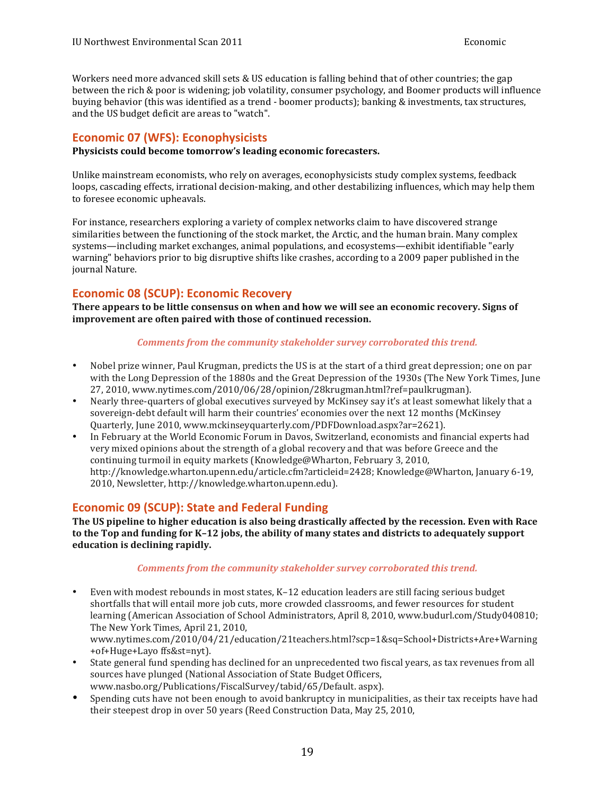<span id="page-18-0"></span> Workers need more advanced skill sets & US education is falling behind that of other countries; the gap between the rich & poor is widening; job volatility, consumer psychology, and Boomer products will influence buying behavior (this was identified as a trend - boomer products); banking & investments, tax structures, and the US budget deficit are areas to "watch".

### **Economic 07 (WFS): Econophysicists**

**Physicists could become tomorrow's leading economic forecasters.**

Unlike mainstream economists, who rely on averages, econophysicists study complex systems, feedback loops, cascading effects, irrational decision-making, and other destabilizing influences, which may help them to foresee economic upheavals.

For instance, researchers exploring a variety of complex networks claim to have discovered strange similarities between the functioning of the stock market, the Arctic, and the human brain. Many complex warning" behaviors prior to big disruptive shifts like crashes, according to a 2009 paper published in the systems—including market exchanges, animal populations, and ecosystems—exhibit identifiable "early journal Nature.

### **Economic 08 (SCUP): Economic Recovery**

There appears to be little consensus on when and how we will see an economic recovery. Signs of  **improvement are often paired with those of continued recession.**

#### *Comments from the community stakeholder survey corroborated this trend.*

- Nobel prize winner, Paul Krugman, predicts the US is at the start of a third great depression; one on par with the Long Depression of the 1880s and the Great Depression of the 1930s (The New York Times, June 27, 2010, www.nytimes.com/2010/06/28/opinion/28krugman.html?ref=paulkrugman).
- Nearly three-quarters of global executives surveyed by McKinsey say it's at least somewhat likely that a sovereign-debt default will harm their countries' economies over the next 12 months (McKinsey Quarterly, June 2010, www.mckinseyquarterly.com/PDFDownload.aspx?ar=2621).
- In February at the World Economic Forum in Davos, Switzerland, economists and financial experts had very mixed opinions about the strength of a global recovery and that was before Greece and the continuing turmoil in equity markets (Knowledge@Wharton, February 3, 2010, http://knowledge.wharton.upenn.edu/article.cfm?articleid=2428; Knowledge@Wharton, January 6-19, 2010, Newsletter, http://knowledge.wharton.upenn.edu).

### **Economic 09 (SCUP): State and Federal Funding**

The US pipeline to higher education is also being drastically affected by the recession. Even with Race to the Top and funding for K-12 jobs, the ability of many states and districts to adequately support **education** is declining rapidly.

#### *Comments from the community stakeholder survey corroborated this trend.*

• Even with modest rebounds in most states, K-12 education leaders are still facing serious budget shortfalls that will entail more job cuts, more crowded classrooms, and fewer resources for student learning (American Association of School Administrators, April 8, 2010, www.budurl.com/Study040810; The New York Times, April 21, 2010.

www.nytimes.com/2010/04/21/education/21teachers.html?scp=1&sq=School+Districts+Are+Warning +of+Huge+Layo ffs&st=nyt).

- State general fund spending has declined for an unprecedented two fiscal years, as tax revenues from all sources have plunged (National Association of State Budget Officers, www.nasbo.org/Publications/FiscalSurvey/tabid/65/Default. aspx).
- Spending cuts have not been enough to avoid bankruptcy in municipalities, as their tax receipts have had their steepest drop in over 50 years (Reed Construction Data, May 25, 2010,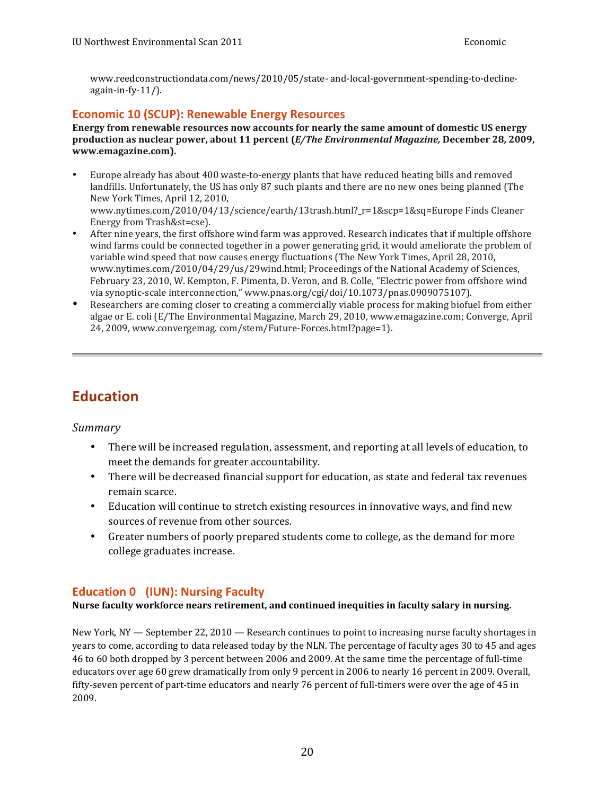<span id="page-19-0"></span>www.reedconstructiondata.com/news/2010/05/state- and-local-government-spending-to-decline $a$ gain-in-fy- $11/$ ).

### **Economic 10 (SCUP): Renewable Energy Resources**

   **production as nuclear power, about 11 percent (***E/The Environmental Magazine,* **December 28, 2009, Energy from renewable resources now accounts for nearly the same amount of domestic US energy www.emagazine.com).**

- Europe already has about 400 waste-to-energy plants that have reduced heating bills and removed landfills. Unfortunately, the US has only 87 such plants and there are no new ones being planned (The New York Times, April 12, 2010, www.nytimes.com/2010/04/13/science/earth/13trash.html?\_r=1&scp=1&sq=Europe Finds Cleaner Energy from Trash&st=cse).
- After nine years, the first offshore wind farm was approved. Research indicates that if multiple offshore variable wind speed that now causes energy fluctuations (The New York Times, April 28, 2010, www.nytimes.com/2010/04/29/us/29wind.html; Proceedings of the National Academy of Sciences, February 23, 2010, W. Kempton, F. Pimenta, D. Veron, and B. Colle, "Electric power from offshore wind wind farms could be connected together in a power generating grid, it would ameliorate the problem of via synoptic-scale interconnection," www.pnas.org/cgi/doi/10.1073/pnas.0909075107).
- Researchers are coming closer to creating a commercially viable process for making biofuel from either algae or E. coli (E/The Environmental Magazine, March 29, 2010, www.emagazine.com; Converge, April 24, 2009, www.convergemag. com/stem/Future-Forces.html?page=1).

# **Education**

*Summary*

- There will be increased regulation, assessment, and reporting at all levels of education, to meet the demands for greater accountability.
- There will be decreased financial support for education, as state and federal tax revenues remain scarce.
- Education will continue to stretch existing resources in innovative ways, and find new sources of revenue from other sources.
- Greater numbers of poorly prepared students come to college, as the demand for more college graduates increase.

## **Education 0 (IUN): Nursing Faculty**

### **Nurse faculty workforce nears retirement, and continued inequities in faculty salary in nursing.**

New York, NY — September 22, 2010 — Research continues to point to increasing nurse faculty shortages in years to come, according to data released today by the NLN. The percentage of faculty ages 30 to 45 and ages 46 to 60 both dropped by 3 percent between 2006 and 2009. At the same time the percentage of full-time educators over age 60 grew dramatically from only 9 percent in 2006 to nearly 16 percent in 2009. Overall, fifty-seven percent of part-time educators and nearly 76 percent of full-timers were over the age of 45 in 2009.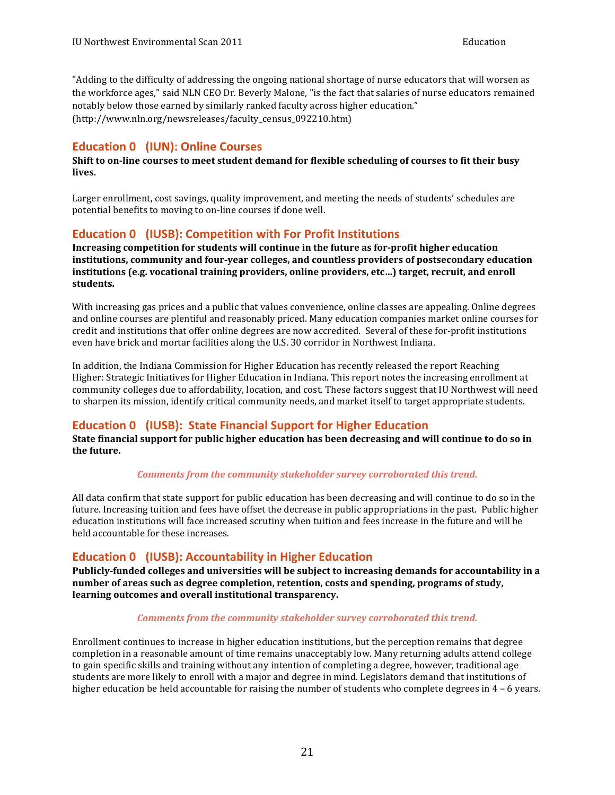<span id="page-20-0"></span>the workforce ages," said NLN CEO Dr. Beverly Malone, "is the fact that salaries of nurse educators remained notably below those earned by similarly ranked faculty across higher education." "Adding to the difficulty of addressing the ongoing national shortage of nurse educators that will worsen as (http://www.nln.org/newsreleases/faculty\_census\_092210.htm)

### **Education 0 (IUN): Online Courses**

**Shift to on-line courses to meet student demand for flexible scheduling of courses to fit their busy lives.**

Larger enrollment, cost savings, quality improvement, and meeting the needs of students' schedules are potential benefits to moving to on-line courses if done well.

### **Education 0 (IUSB): Competition with For Profit Institutions**

 **Increasing competition for students will continue in the future as for‐profit higher education institutions, community and four‐year colleges, and countless providers of postsecondary education institutions (e.g. vocational training providers, online providers, etc…) target, recruit, and enroll students.**

 With increasing gas prices and a public that values convenience, online classes are appealing. Online degrees and online courses are plentiful and reasonably priced. Many education companies market online courses for credit and institutions that offer online degrees are now accredited. Several of these for-profit institutions even have brick and mortar facilities along the U.S. 30 corridor in Northwest Indiana.

In addition, the Indiana Commission for Higher Education has recently released the report Reaching Higher: Strategic Initiatives for Higher Education in Indiana. This report notes the increasing enrollment at community colleges due to affordability, location, and cost. These factors suggest that IU Northwest will need to sharpen its mission, identify critical community needs, and market itself to target appropriate students.

### **Education 0 (IUSB): State Financial Support for Higher Education**

 **State financial support for public higher education has been decreasing and will continue to do so in the future.**

#### *Comments from the community stakeholder survey corroborated this trend.*

All data confirm that state support for public education has been decreasing and will continue to do so in the future. Increasing tuition and fees have offset the decrease in public appropriations in the past. Public higher education institutions will face increased scrutiny when tuition and fees increase in the future and will be held accountable for these increases.

### **Education 0 (IUSB): Accountability in Higher Education**

 **Publicly‐funded colleges and universities will be subject to increasing demands for accountability in a number of areas such as degree completion, retention, costs and spending, programs of study,** learning outcomes and overall institutional transparency.

#### *Comments from the community stakeholder survey corroborated this trend.*

Enrollment continues to increase in higher education institutions, but the perception remains that degree completion in a reasonable amount of time remains unacceptably low. Many returning adults attend college to gain specific skills and training without any intention of completing a degree, however, traditional age students are more likely to enroll with a major and degree in mind. Legislators demand that institutions of higher education be held accountable for raising the number of students who complete degrees in 4 - 6 years.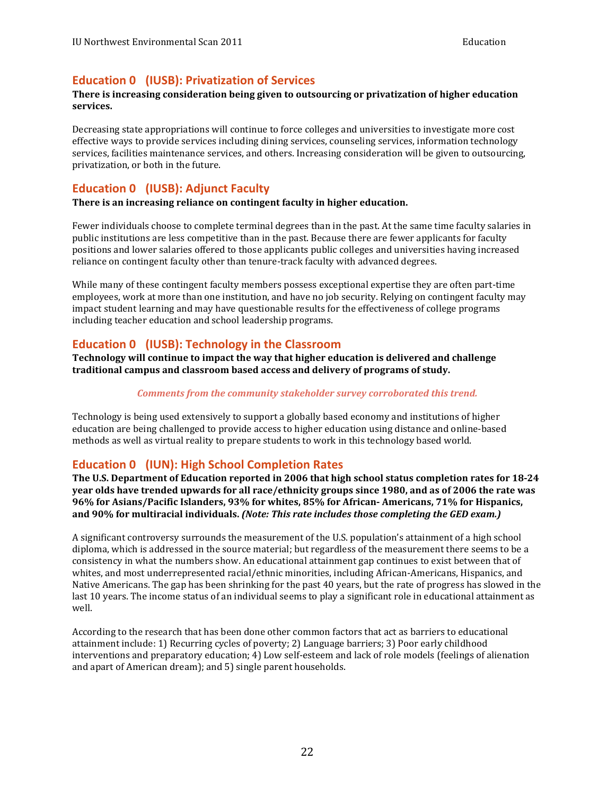### <span id="page-21-0"></span>**Education 0 (IUSB): Privatization of Services**

#### There is increasing consideration being given to outsourcing or privatization of higher education **services.**

Decreasing state appropriations will continue to force colleges and universities to investigate more cost services, facilities maintenance services, and others. Increasing consideration will be given to outsourcing, privatization, or both in the future. effective ways to provide services including dining services, counseling services, information technology

### **Education 0 (IUSB): Adjunct Faculty**

 **There is an increasing reliance on contingent faculty in higher education.**

Fewer individuals choose to complete terminal degrees than in the past. At the same time faculty salaries in public institutions are less competitive than in the past. Because there are fewer applicants for faculty positions and lower salaries offered to those applicants public colleges and universities having increased reliance on contingent faculty other than tenure-track faculty with advanced degrees.

 While many of these contingent faculty members possess exceptional expertise they are often part-time employees, work at more than one institution, and have no job security. Relying on contingent faculty may impact student learning and may have questionable results for the effectiveness of college programs including teacher education and school leadership programs.

### **Education 0 (IUSB): Technology in the Classroom**

 **Technology will continue to impact the way that higher education is delivered and challenge traditional campus and classroom based access and delivery of programs of study.**

#### *Comments from the community stakeholder survey corroborated this trend.*

Technology is being used extensively to support a globally based economy and institutions of higher education are being challenged to provide access to higher education using distance and online-based methods as well as virtual reality to prepare students to work in this technology based world.

### **Education 0 (IUN): High School Completion Rates**

The U.S. Department of Education reported in 2006 that high school status completion rates for 18-24  **year olds have trended upwards for all race/ethnicity groups since 1980, and as of 2006 the rate was** 96% for Asians/Pacific Islanders, 93% for whites, 85% for African- Americans, 71% for Hispanics, and 90% for multiracial individuals. (Note: This rate includes those completing the GED exam.)

A significant controversy surrounds the measurement of the U.S. population's attainment of a high school diploma, which is addressed in the source material; but regardless of the measurement there seems to be a consistency in what the numbers show. An educational attainment gap continues to exist between that of whites, and most underrepresented racial/ethnic minorities, including African-Americans, Hispanics, and Native Americans. The gap has been shrinking for the past 40 years, but the rate of progress has slowed in the last 10 years. The income status of an individual seems to play a significant role in educational attainment as well.

According to the research that has been done other common factors that act as barriers to educational attainment include: 1) Recurring cycles of poverty; 2) Language barriers; 3) Poor early childhood and apart of American dream); and 5) single parent households. interventions and preparatory education; 4) Low self-esteem and lack of role models (feelings of alienation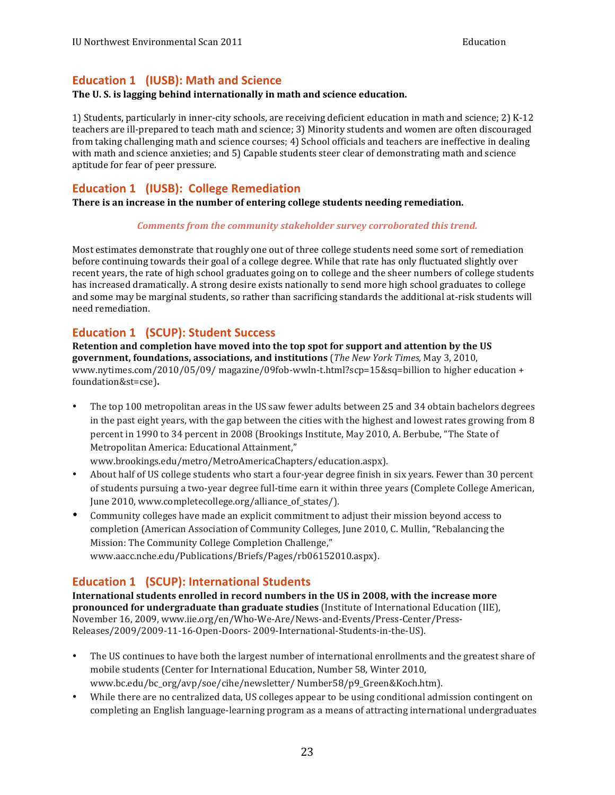### <span id="page-22-0"></span>**Education 1 (IUSB): Math and Science**

#### **The U. S. is lagging behind internationally in math and science education.**

1) Students, particularly in inner-city schools, are receiving deficient education in math and science; 2) K-12 teachers are ill-prepared to teach math and science; 3) Minority students and women are often discouraged with math and science anxieties; and 5) Capable students steer clear of demonstrating math and science aptitude for fear of peer pressure. from taking challenging math and science courses; 4) School officials and teachers are ineffective in dealing

### **Education 1 (IUSB): College Remediation**

 **There is an increase in the number of entering college students needing remediation.**

#### *Comments from the community stakeholder survey corroborated this trend.*

 Most estimates demonstrate that roughly one out of three college students need some sort of remediation before continuing towards their goal of a college degree. While that rate has only fluctuated slightly over recent years, the rate of high school graduates going on to college and the sheer numbers of college students has increased dramatically. A strong desire exists nationally to send more high school graduates to college and some may be marginal students, so rather than sacrificing standards the additional at-risk students will need remediation.

### **Education 1 (SCUP): Student Success**

 **Retention and completion have moved into the top spot for support and attention by the US**   **government, foundations, associations, and institutions** (*The New York Times,* May 3, 2010, www.nytimes.com/2010/05/09/ magazine/09fob-wwln-t.html?scp=15&sq=billion to higher education + foundation&st=cse)**.**

• The top 100 metropolitan areas in the US saw fewer adults between 25 and 34 obtain bachelors degrees in the past eight years, with the gap between the cities with the highest and lowest rates growing from 8 percent in 1990 to 34 percent in 2008 (Brookings Institute, May 2010, A. Berbube, "The State of Metropolitan America: Educational Attainment,"

www.brookings.edu/metro/MetroAmericaChapters/education.aspx).

- About half of US college students who start a four-year degree finish in six years. Fewer than 30 percent of students pursuing a two-year degree full-time earn it within three years (Complete College American, June 2010, www.completecollege.org/alliance\_of\_states/).
- Community colleges have made an explicit commitment to adjust their mission beyond access to completion (American Association of Community Colleges, June 2010, C. Mullin, "Rebalancing the Mission: The Community College Completion Challenge," www.aacc.nche.edu/Publications/Briefs/Pages/rb06152010.aspx).

### **Education 1 (SCUP): International Students**

 **pronounced for undergraduate than graduate studies** (Institute of International Education (IIE), November 16, 2009, www.iie.org/en/Who-We-Are/News-and-Events/Press-Center/Press-International students enrolled in record numbers in the US in 2008, with the increase more Releases/2009/2009-11-16-Open-Doors- 2009-International-Students-in-the-US).

- The US continues to have both the largest number of international enrollments and the greatest share of mobile students (Center for International Education, Number 58, Winter 2010, www.bc.edu/bc\_org/avp/soe/cihe/newsletter/ Number58/p9\_Green&Koch.htm).
- While there are no centralized data, US colleges appear to be using conditional admission contingent on completing an English language-learning program as a means of attracting international undergraduates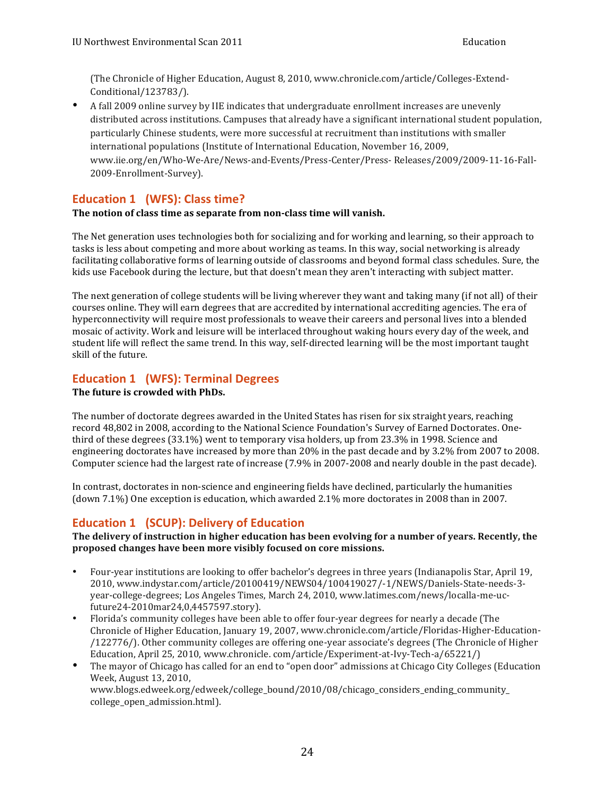<span id="page-23-0"></span>(The Chronicle of Higher Education, August 8, 2010, www.chronicle.com/article/Colleges-Extend-Conditional/123783/).

• A fall 2009 online survey by IIE indicates that undergraduate enrollment increases are unevenly distributed across institutions. Campuses that already have a significant international student population, particularly Chinese students, were more successful at recruitment than institutions with smaller international populations (Institute of International Education, November 16, 2009, www.iie.org/en/Who-We-Are/News-and-Events/Press-Center/Press- Releases/2009/2009-11-16-Fall-2009-Enrollment-Survey).

### **Education 1 (WFS): Class time?**

#### **The notion of class time as separate from non-class time will vanish.**

The Net generation uses technologies both for socializing and for working and learning, so their approach to tasks is less about competing and more about working as teams. In this way, social networking is already kids use Facebook during the lecture, but that doesn't mean they aren't interacting with subject matter. facilitating collaborative forms of learning outside of classrooms and beyond formal class schedules. Sure, the

The next generation of college students will be living wherever they want and taking many (if not all) of their hyperconnectivity will require most professionals to weave their careers and personal lives into a blended mosaic of activity. Work and leisure will be interlaced throughout waking hours every day of the week, and student life will reflect the same trend. In this way, self-directed learning will be the most important taught skill of the future. courses online. They will earn degrees that are accredited by international accrediting agencies. The era of

### **Education 1 (WFS): Terminal Degrees**

#### **The future is crowded with PhDs.**

The number of doctorate degrees awarded in the United States has risen for six straight years, reaching third of these degrees (33.1%) went to temporary visa holders, up from 23.3% in 1998. Science and engineering doctorates have increased by more than 20% in the past decade and by 3.2% from 2007 to 2008. Computer science had the largest rate of increase (7.9% in 2007-2008 and nearly double in the past decade). record 48,802 in 2008, according to the National Science Foundation's Survey of Earned Doctorates. One-

In contrast, doctorates in non-science and engineering fields have declined, particularly the humanities (down 7.1%) One exception is education, which awarded  $2.1\%$  more doctorates in 2008 than in 2007.

## **Education 1 (SCUP): Delivery of Education**

#### The delivery of instruction in higher education has been evolving for a number of years. Recently, the  **proposed changes have been more visibly focused on core missions.**

- Four-year institutions are looking to offer bachelor's degrees in three years (Indianapolis Star, April 19, year-college-degrees; Los Angeles Times, March 24, 2010, www.latimes.com/news/localla-me-uc-2010, www.indystar.com/article/20100419/NEWS04/100419027/-1/NEWS/Daniels-State-needs-3 future24-2010mar24,0,4457597.story).
- Florida's community colleges have been able to offer four-year degrees for nearly a decade (The Chronicle of Higher Education, January 19, 2007, www.chronicle.com/article/Floridas-Higher-Education-/122776/). Other community colleges are offering one-year associate's degrees (The Chronicle of Higher Education, April 25, 2010, www.chronicle. com/article/Experiment-at-Ivy-Tech-a/65221/)
- The mayor of Chicago has called for an end to "open door" admissions at Chicago City Colleges (Education Week, August 13, 2010, www.blogs.edweek.org/edweek/college\_bound/2010/08/chicago\_considers\_ending\_community\_ college\_open\_admission.html).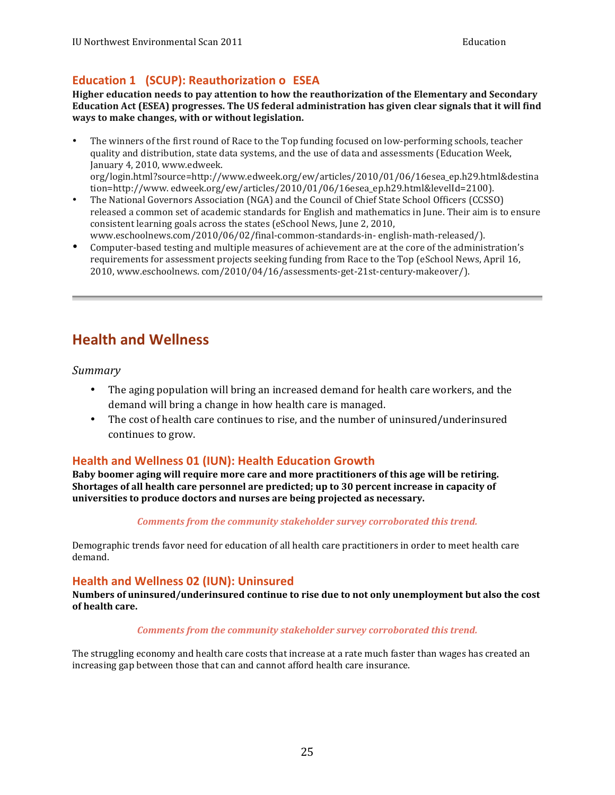### <span id="page-24-0"></span>**Education 1 (SCUP): Reauthorization o ESEA**

 **Higher education needs to pay attention to how the reauthorization of the Elementary and Secondary Education Act (ESEA) progresses. The US federal administration has given clear signals that it will find ways to make changes, with or without legislation.**

- The winners of the first round of Race to the Top funding focused on low-performing schools, teacher quality and distribution, state data systems, and the use of data and assessments (Education Week, January 4, 2010, www.edweek. org/login.html?source=http://www.edweek.org/ew/articles/2010/01/06/16esea\_ep.h29.html&destina
- The National Governors Association (NGA) and the Council of Chief State School Officers (CCSSO) consistent learning goals across the states (eSchool News, June 2, 2010, tion=http://www. edweek.org/ew/articles/2010/01/06/16esea\_ep.h29.html&levelId=2100). released a common set of academic standards for English and mathematics in June. Their aim is to ensure www.eschoolnews.com/2010/06/02/final-common-standards-in- english-math-released/).
- Computer-based testing and multiple measures of achievement are at the core of the administration's requirements for assessment projects seeking funding from Race to the Top (eSchool News, April 16, 2010, www.eschoolnews. com/2010/04/16/assessments-get-21st-century-makeover/).

# **Health and Wellness**

#### *Summary*

- The aging population will bring an increased demand for health care workers, and the demand will bring a change in how health care is managed.
- The cost of health care continues to rise, and the number of uninsured/underinsured continues to grow.

### **Health and Wellness 01 (IUN): Health Education Growth**

Baby boomer aging will require more care and more practitioners of this age will be retiring.  **Shortages of all health care personnel are predicted; up to 30 percent increase in capacity of universities to produce doctors and nurses are being projected as necessary.**

#### *Comments from the community stakeholder survey corroborated this trend.*

Demographic trends favor need for education of all health care practitioners in order to meet health care demand.

### **Health and Wellness 02 (IUN): Uninsured**

 **Numbers of uninsured/underinsured continue to rise due to not only unemployment but also the cost of health care.**

#### *Comments from the community stakeholder survey corroborated this trend.*

The struggling economy and health care costs that increase at a rate much faster than wages has created an increasing gap between those that can and cannot afford health care insurance.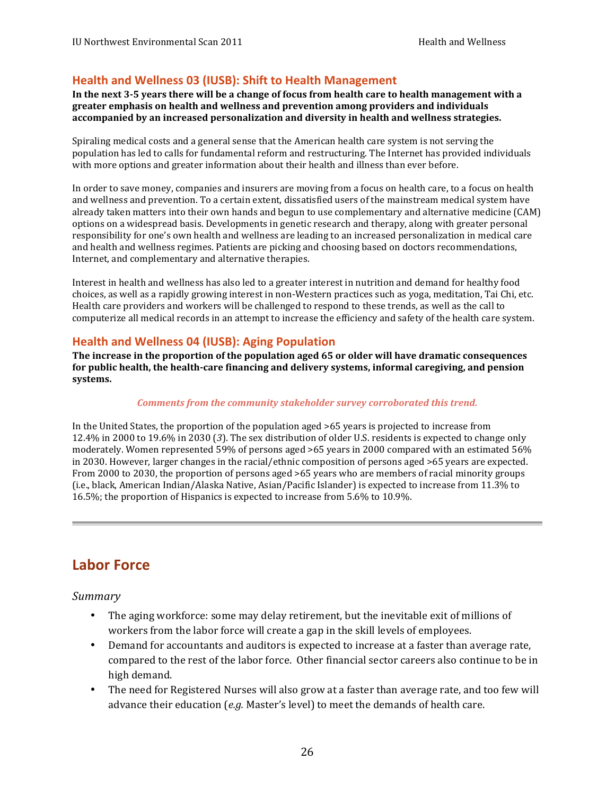### <span id="page-25-0"></span> **Health and Wellness 03 (IUSB): Shift to Health Management**

In the next 3-5 years there will be a change of focus from health care to health management with a  **accompanied by an increased personalization and diversity in health and wellness strategies.** greater emphasis on health and wellness and prevention among providers and individuals

Spiraling medical costs and a general sense that the American health care system is not serving the population has led to calls for fundamental reform and restructuring. The Internet has provided individuals with more options and greater information about their health and illness than ever before.

In order to save money, companies and insurers are moving from a focus on health care, to a focus on health and wellness and prevention. To a certain extent, dissatisfied users of the mainstream medical system have already taken matters into their own hands and begun to use complementary and alternative medicine (CAM) options on a widespread basis. Developments in genetic research and therapy, along with greater personal responsibility for one's own health and wellness are leading to an increased personalization in medical care and health and wellness regimes. Patients are picking and choosing based on doctors recommendations, Internet, and complementary and alternative therapies.

Interest in health and wellness has also led to a greater interest in nutrition and demand for healthy food choices, as well as a rapidly growing interest in non-Western practices such as yoga, meditation, Tai Chi, etc. Health care providers and workers will be challenged to respond to these trends, as well as the call to computerize all medical records in an attempt to increase the efficiency and safety of the health care system.

### **Health and Wellness 04 (IUSB): Aging Population**

The increase in the proportion of the population aged 65 or older will have dramatic consequences  **for public health, the health-care financing and delivery systems, informal caregiving, and pension systems.**

#### *Comments from the community stakeholder survey corroborated this trend.*

In the United States, the proportion of the population aged >65 years is projected to increase from 12.4% in 2000 to 19.6% in 2030 (3). The sex distribution of older U.S. residents is expected to change only moderately. Women represented 59% of persons aged >65 years in 2000 compared with an estimated 56% From 2000 to 2030, the proportion of persons aged >65 years who are members of racial minority groups (i.e., black, American Indian/Alaska Native, Asian/Pacific Islander) is expected to increase from 11.3% to 16.5%; the proportion of Hispanics is expected to increase from 5.6% to 10.9%. in 2030. However, larger changes in the racial/ethnic composition of persons aged  $>65$  years are expected.

# **Labor Force**

*Summary*

- The aging workforce: some may delay retirement, but the inevitable exit of millions of workers from the labor force will create a gap in the skill levels of employees.
- Demand for accountants and auditors is expected to increase at a faster than average rate, compared to the rest of the labor force. Other financial sector careers also continue to be in high demand.
- The need for Registered Nurses will also grow at a faster than average rate, and too few will advance their education (*e.g.* Master's level) to meet the demands of health care.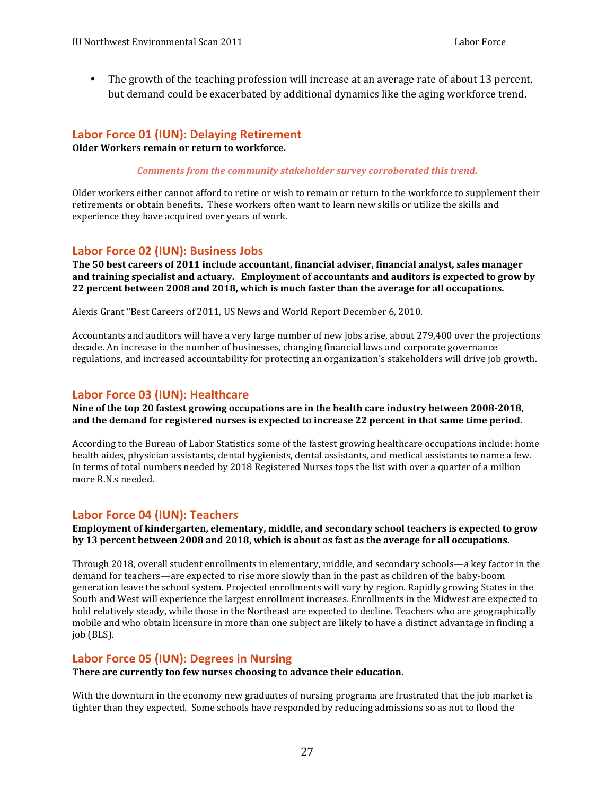<span id="page-26-0"></span>• The growth of the teaching profession will increase at an average rate of about 13 percent, but demand could be exacerbated by additional dynamics like the aging workforce trend.

#### **Labor Force 01 (IUN): Delaying Retirement**

 **Older Workers remain or return to workforce.**

#### *Comments from the community stakeholder survey corroborated this trend.*

Older workers either cannot afford to retire or wish to remain or return to the workforce to supplement their experience they have acquired over years of work. retirements or obtain benefits. These workers often want to learn new skills or utilize the skills and

#### **Labor Force 02 (IUN): Business Jobs**

 **The 50 best careers of 2011 include accountant, financial adviser, financial analyst, sales manager** and training specialist and actuary. Employment of accountants and auditors is expected to grow by  **22 percent between 2008 and 2018, which is much faster than the average for all occupations.**

Alexis Grant "Best Careers of 2011, US News and World Report December 6, 2010.

 Accountants and auditors will have a very large number of new jobs arise, about 279,400 over the projections decade. An increase in the number of businesses, changing financial laws and corporate governance regulations, and increased accountability for protecting an organization's stakeholders will drive job growth.

#### **Labor Force 03 (IUN): Healthcare**

Nine of the top 20 fastest growing occupations are in the health care industry between 2008-2018,  **and the demand for registered nurses is expected to increase 22 percent in that same time period.**

According to the Bureau of Labor Statistics some of the fastest growing healthcare occupations include: home health aides, physician assistants, dental hygienists, dental assistants, and medical assistants to name a few. In terms of total numbers needed by 2018 Registered Nurses tops the list with over a quarter of a million more R.N.s needed.

### **Labor Force 04 (IUN): Teachers**

#### **Employment of kindergarten, elementary, middle, and secondary school teachers is expected to grow** by 13 percent between 2008 and 2018, which is about as fast as the average for all occupations.

Through 2018, overall student enrollments in elementary, middle, and secondary schools—a key factor in the demand for teachers—are expected to rise more slowly than in the past as children of the baby-boom generation leave the school system. Projected enrollments will vary by region. Rapidly growing States in the South and West will experience the largest enrollment increases. Enrollments in the Midwest are expected to hold relatively steady, while those in the Northeast are expected to decline. Teachers who are geographically mobile and who obtain licensure in more than one subject are likely to have a distinct advantage in finding a job (BLS).

#### **Labor Force 05 (IUN): Degrees in Nursing**

 **There are currently too few nurses choosing to advance their education.**

 With the downturn in the economy new graduates of nursing programs are frustrated that the job market is tighter than they expected. Some schools have responded by reducing admissions so as not to flood the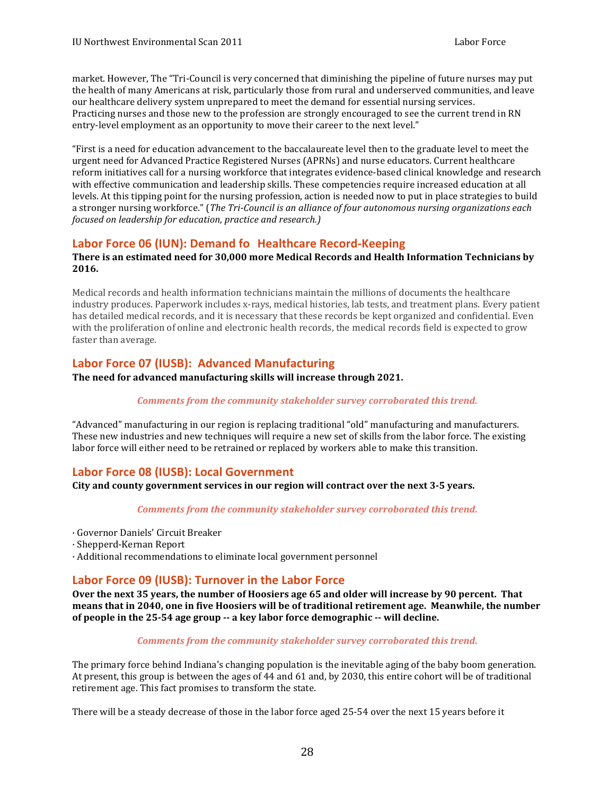<span id="page-27-0"></span>market. However, The "Tri-Council is very concerned that diminishing the pipeline of future nurses may put the health of many Americans at risk, particularly those from rural and underserved communities, and leave our healthcare delivery system unprepared to meet the demand for essential nursing services. Practicing nurses and those new to the profession are strongly encouraged to see the current trend in RN entry-level employment as an opportunity to move their career to the next level."

"First is a need for education advancement to the baccalaureate level then to the graduate level to meet the urgent need for Advanced Practice Registered Nurses (APRNs) and nurse educators. Current healthcare reform initiatives call for a nursing workforce that integrates evidence-based clinical knowledge and research with effective communication and leadership skills. These competencies require increased education at all levels. At this tipping point for the nursing profession, action is needed now to put in place strategies to build  a stronger nursing workforce." (*The Tri-Council is an alliance of four autonomous nursing organizations each focused on leadership for education, practice and research.)*

### **Labor Force 06 (IUN): Demand fo Healthcare Record-Keeping**

#### **There is an estimated need for 30,000 more Medical Records and Health Information Technicians by 2016.**

Medical records and health information technicians maintain the millions of documents the healthcare has detailed medical records, and it is necessary that these records be kept organized and confidential. Even with the proliferation of online and electronic health records, the medical records field is expected to grow industry produces. Paperwork includes x-rays, medical histories, lab tests, and treatment plans. Every patient faster than average.

### **Labor Force 07 (IUSB): Advanced Manufacturing**

#### **The need for advanced manufacturing skills will increase through 2021.**

#### *Comments from the community stakeholder survey corroborated this trend.*

"Advanced" manufacturing in our region is replacing traditional "old" manufacturing and manufacturers. These new industries and new techniques will require a new set of skills from the labor force. The existing labor force will either need to be retrained or replaced by workers able to make this transition.

### **Labor Force 08 (IUSB): Local Government**

#### **City and county government services in our region will contract over the next 3-5 years.**

#### *Comments from the community stakeholder survey corroborated this trend.*

- · Governor Daniels' Circuit Breaker
- · Shepperd-Kernan Report
- · Additional recommendations to eliminate local government personnel

#### Labor Force 09 (IUSB): Turnover in the Labor Force

Over the next 35 years, the number of Hoosiers age 65 and older will increase by 90 percent. That means that in 2040, one in five Hoosiers will be of traditional retirement age. Meanwhile, the number  **of people in the 25-54 age group -- a key labor force demographic -- will decline.**

#### *Comments from the community stakeholder survey corroborated this trend.*

The primary force behind Indiana's changing population is the inevitable aging of the baby boom generation. At present, this group is between the ages of 44 and 61 and, by 2030, this entire cohort will be of traditional retirement age. This fact promises to transform the state.

There will be a steady decrease of those in the labor force aged 25-54 over the next 15 years before it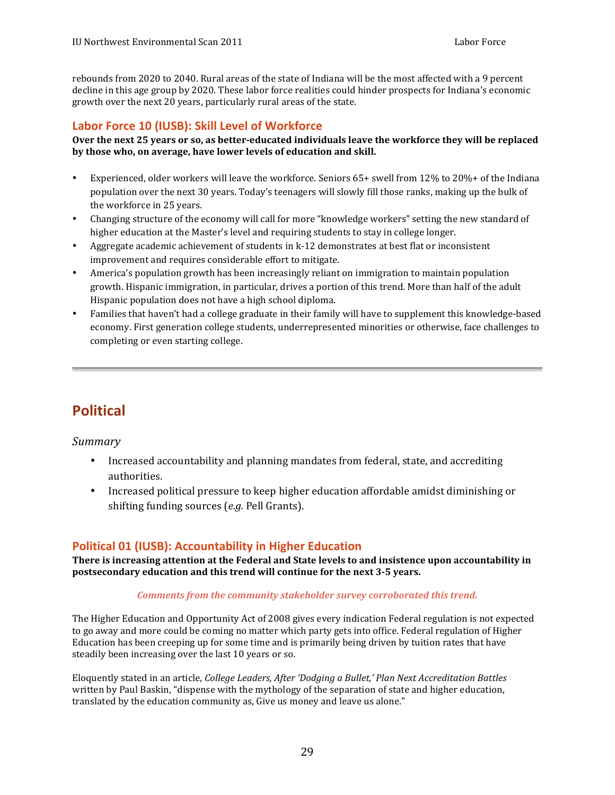<span id="page-28-0"></span>decline in this age group by 2020. These labor force realities could hinder prospects for Indiana's economic growth over the next 20 years, particularly rural areas of the state. rebounds from 2020 to 2040. Rural areas of the state of Indiana will be the most affected with a 9 percent

### **Labor Force 10 (IUSB): Skill Level of Workforce**

#### **Over the next 25 years or so, as better‐educated individuals leave the workforce they will be replaced by those who, on average, have lower levels of education and skill.**

- Experienced, older workers will leave the workforce. Seniors 65+ swell from 12% to 20%+ of the Indiana population over the next 30 years. Today's teenagers will slowly fill those ranks, making up the bulk of the workforce in 25 years.
- higher education at the Master's level and requiring students to stay in college longer. Changing structure of the economy will call for more "knowledge workers" setting the new standard of
- Aggregate academic achievement of students in k-12 demonstrates at best flat or inconsistent improvement and requires considerable effort to mitigate.
- America's population growth has been increasingly reliant on immigration to maintain population growth. Hispanic immigration, in particular, drives a portion of this trend. More than half of the adult Hispanic population does not have a high school diploma.
- Families that haven't had a college graduate in their family will have to supplement this knowledge-based economy. First generation college students, underrepresented minorities or otherwise, face challenges to completing or even starting college.

# **Political**

#### *Summary*

- Increased accountability and planning mandates from federal, state, and accrediting authorities.
- Increased political pressure to keep higher education affordable amidst diminishing or shifting funding sources (*e.g.* Pell Grants).

### **Political 01 (IUSB): Accountability in Higher Education**

 **There is increasing attention at the Federal and State levels to and insistence upon accountability in postsecondary education and this trend will continue for the next 3-5 years.**

#### *Comments from the community stakeholder survey corroborated this trend.*

The Higher Education and Opportunity Act of 2008 gives every indication Federal regulation is not expected to go away and more could be coming no matter which party gets into office. Federal regulation of Higher Education has been creeping up for some time and is primarily being driven by tuition rates that have steadily been increasing over the last 10 years or so.

  Eloquently stated in an article, *College Leaders, After 'Dodging a Bullet,' Plan Next Accreditation Battles* written by Paul Baskin, "dispense with the mythology of the separation of state and higher education, translated by the education community as, Give us money and leave us alone."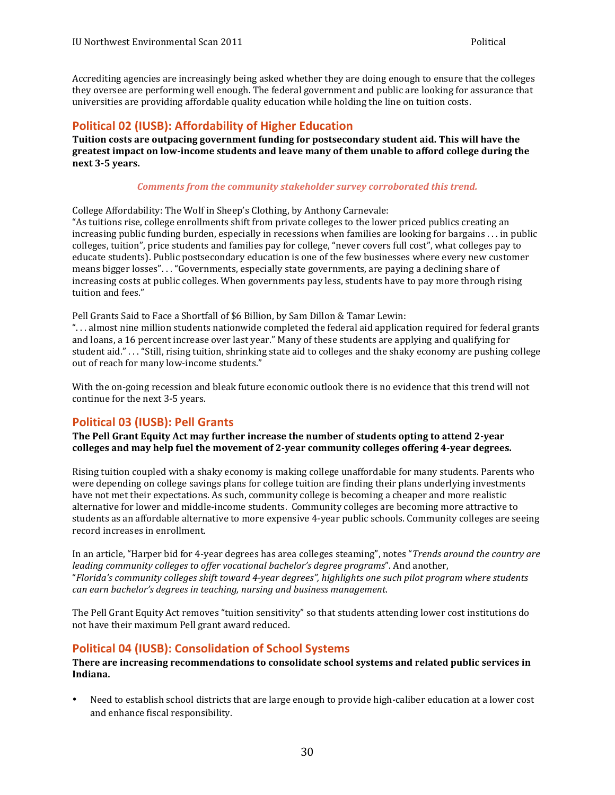<span id="page-29-0"></span> Accrediting agencies are increasingly being asked whether they are doing enough to ensure that the colleges universities are providing affordable quality education while holding the line on tuition costs. they oversee are performing well enough. The federal government and public are looking for assurance that

### **Political 02 (IUSB): Affordability of Higher Education**

 **Tuition costs are outpacing government funding for postsecondary student aid. This will have the** greatest impact on low-income students and leave many of them unable to afford college during the  **next 3-5 years.**

#### *Comments from the community stakeholder survey corroborated this trend.*

College Affordability: The Wolf in Sheep's Clothing, by Anthony Carnevale: "As tuitions rise, college enrollments shift from private colleges to the lower priced publics creating an colleges, tuition", price students and families pay for college, "never covers full cost", what colleges pay to educate students). Public postsecondary education is one of the few businesses where every new customer means bigger losses". . . "Governments, especially state governments, are paying a declining share of tuition and fees." increasing public funding burden, especially in recessions when families are looking for bargains . . . in public increasing costs at public colleges. When governments pay less, students have to pay more through rising

Pell Grants Said to Face a Shortfall of \$6 Billion, by Sam Dillon & Tamar Lewin:

"... almost nine million students nationwide completed the federal aid application required for federal grants and loans, a 16 percent increase over last year." Many of these students are applying and qualifying for out of reach for many low-income students." student aid." . . . "Still, rising tuition, shrinking state aid to colleges and the shaky economy are pushing college

With the on-going recession and bleak future economic outlook there is no evidence that this trend will not continue for the next 3-5 years.

### **Political 03 (IUSB): Pell Grants**

The Pell Grant Equity Act may further increase the number of students opting to attend 2-year  **colleges and may help fuel the movement of 2-year community colleges offering 4-year degrees.**

Rising tuition coupled with a shaky economy is making college unaffordable for many students. Parents who were depending on college savings plans for college tuition are finding their plans underlying investments have not met their expectations. As such, community college is becoming a cheaper and more realistic alternative for lower and middle-income students. Community colleges are becoming more attractive to students as an affordable alternative to more expensive 4-year public schools. Community colleges are seeing record increases in enrollment.

In an article, "Harper bid for 4-year degrees has area colleges steaming", notes "*Trends around the country are*  "*Florida's community colleges shift toward 4*‐*year degrees", highlights one such pilot program where students can earn bachelor's degrees in teaching, nursing and business management*. *leading community colleges to offer vocational bachelor's degree programs*". And another,

The Pell Grant Equity Act removes "tuition sensitivity" so that students attending lower cost institutions do not have their maximum Pell grant award reduced.

### **Political 04 (IUSB): Consolidation of School Systems**

#### **There are increasing recommendations to consolidate school systems and related public services in Indiana.**

• Need to establish school districts that are large enough to provide high-caliber education at a lower cost and enhance fiscal responsibility.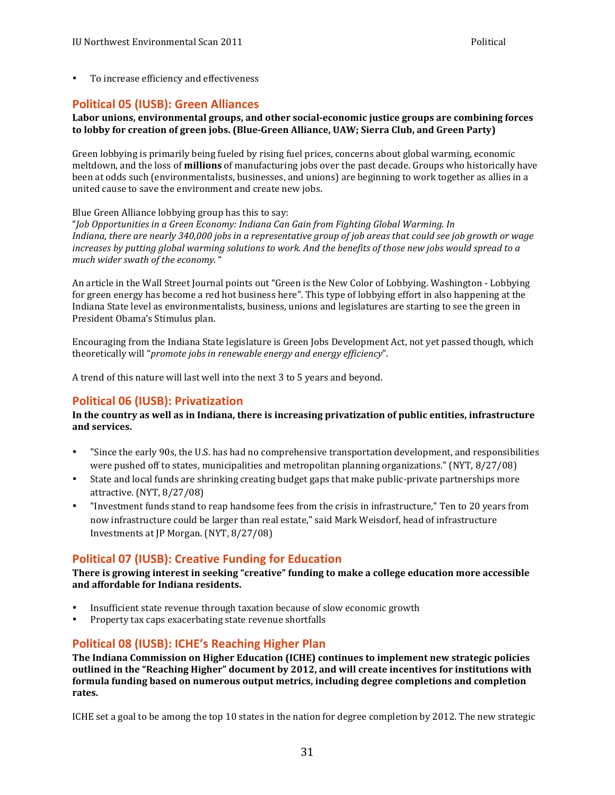<span id="page-30-0"></span>• To increase efficiency and effectiveness

### **Political 05 (IUSB): Green Alliances**

#### **Labor unions, environmental groups, and other social‐economic justice groups are combining forces**  to lobby for creation of green jobs. (Blue-Green Alliance, UAW; Sierra Club, and Green Party)

Green lobbying is primarily being fueled by rising fuel prices, concerns about global warming, economic meltdown, and the loss of **millions** of manufacturing jobs over the past decade. Groups who historically have been at odds such (environmentalists, businesses, and unions) are beginning to work together as allies in a united cause to save the environment and create new jobs.

 Blue Green Alliance lobbying group has this to say:

 "*Job Opportunities in a Green Economy: Indiana Can Gain from Fighting Global Warming. In* Indiana, there are nearly 340,000 jobs in a representative group of job areas that could see job growth or wage  *much wider swath of the economy.* " *increases by putting global warming solutions to work. And the benefits of those new jobs would spread to a* 

An article in the Wall Street Journal points out "Green is the New Color of Lobbying. Washington - Lobbying Indiana State level as environmentalists, business, unions and legislatures are starting to see the green in President Obama's Stimulus plan. for green energy has become a red hot business here". This type of lobbying effort in also happening at the

Encouraging from the Indiana State legislature is Green Jobs Development Act, not yet passed though, which  theoretically will "*promote jobs in renewable energy and energy efficiency*".

 A trend of this nature will last well into the next 3 to 5 years and beyond.

### **Political 06 (IUSB): Privatization**

#### In the country as well as in Indiana, there is increasing privatization of public entities, infrastructure **and services.**

- "Since the early 90s, the U.S. has had no comprehensive transportation development, and responsibilities were pushed off to states, municipalities and metropolitan planning organizations." (NYT, 8/27/08)
- State and local funds are shrinking creating budget gaps that make public-private partnerships more attractive. (NYT, 8/27/08)
- Thvestment funds stand to reap handsome fees from the crisis in infrastructure," Ten to 20 years from now infrastructure could be larger than real estate," said Mark Weisdorf, head of infrastructure Investments at JP Morgan. (NYT, 8/27/08)

### **Political 07 (IUSB): Creative Funding for Education**

There is growing interest in seeking "creative" funding to make a college education more accessible **and affordable for Indiana residents.**

- Insufficient state revenue through taxation because of slow economic growth
- Property tax caps exacerbating state revenue shortfalls

### **Political 08 (IUSB): ICHE's Reaching Higher Plan**

 **The Indiana Commission on Higher Education (ICHE) continues to implement new strategic policies**  outlined in the "Reaching Higher" document by 2012, and will create incentives for institutions with  **formula funding based on numerous output metrics, including degree completions and completion rates.**

ICHE set a goal to be among the top 10 states in the nation for degree completion by 2012. The new strategic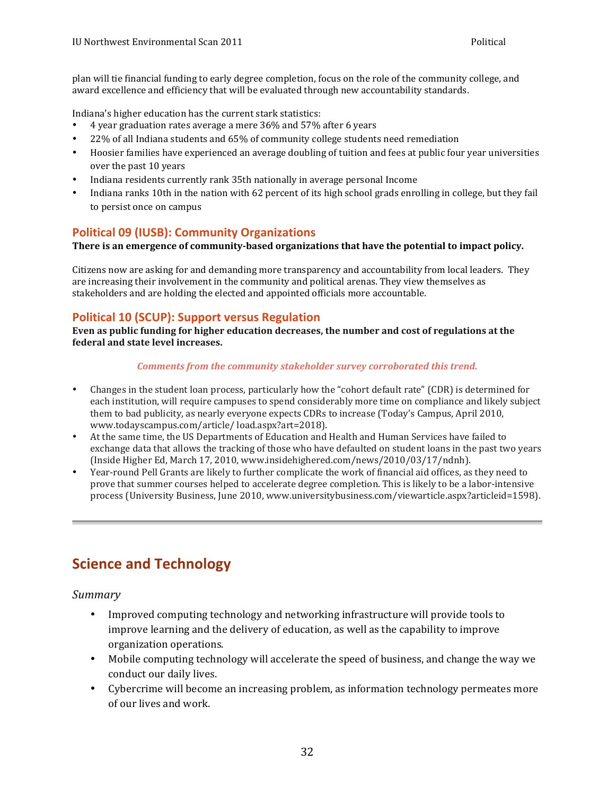<span id="page-31-0"></span>plan will tie financial funding to early degree completion, focus on the role of the community college, and award excellence and efficiency that will be evaluated through new accountability standards.

Indiana's higher education has the current stark statistics:

- 4 year graduation rates average a mere 36% and 57% after 6 years
- 22% of all Indiana students and 65% of community college students need remediation
- Hoosier families have experienced an average doubling of tuition and fees at public four year universities over the past 10 years
- Indiana residents currently rank 35th nationally in average personal Income
- Indiana ranks 10th in the nation with 62 percent of its high school grads enrolling in college, but they fail to persist once on campus

### **Political 09 (IUSB): Community Organizations**

There is an emergence of community-based organizations that have the potential to impact policy.

Citizens now are asking for and demanding more transparency and accountability from local leaders. They are increasing their involvement in the community and political arenas. They view themselves as stakeholders and are holding the elected and appointed officials more accountable.

### **Political 10 (SCUP): Support versus Regulation**

**Even as public funding for higher education decreases, the number and cost of regulations at the federal and state level increases.**

#### *Comments from the community stakeholder survey corroborated this trend.*

- Changes in the student loan process, particularly how the "cohort default rate" (CDR) is determined for each institution, will require campuses to spend considerably more time on compliance and likely subject them to bad publicity, as nearly everyone expects CDRs to increase (Today's Campus, April 2010, www.todayscampus.com/article/ load.aspx?art=2018).
- At the same time, the US Departments of Education and Health and Human Services have failed to exchange data that allows the tracking of those who have defaulted on student loans in the past two years (Inside Higher Ed, March 17, 2010, www.insidehighered.com/news/2010/03/17/ndnh).
- prove that summer courses helped to accelerate degree completion. This is likely to be a labor-intensive process (University Business, June 2010, www.universitybusiness.com/viewarticle.aspx?articleid=1598). Year-round Pell Grants are likely to further complicate the work of financial aid offices, as they need to

# **Science and Technology**

*Summary*

- Improved computing technology and networking infrastructure will provide tools to organization operations. improve learning and the delivery of education, as well as the capability to improve
- Mobile computing technology will accelerate the speed of business, and change the way we conduct our daily lives.
- Cybercrime will become an increasing problem, as information technology permeates more of our lives and work.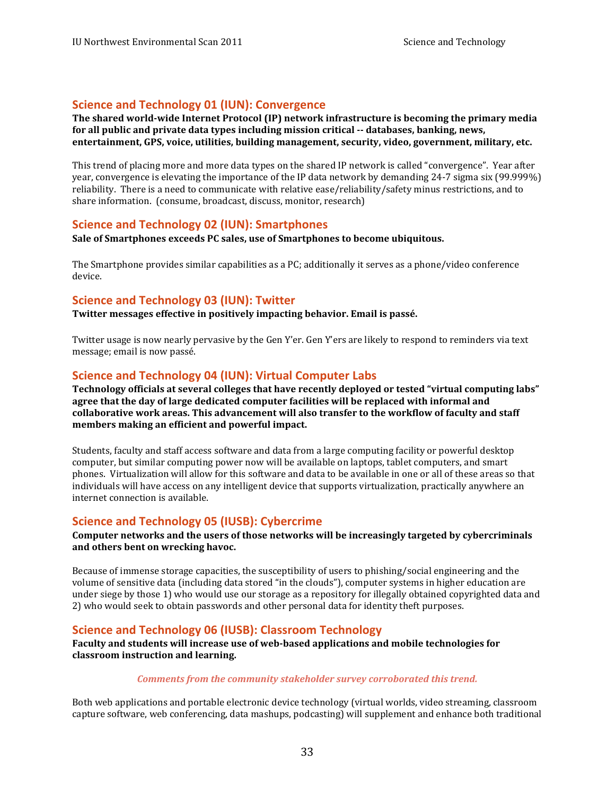#### <span id="page-32-0"></span>**Science and Technology 01 (IUN): Convergence**

 **The shared world-wide Internet Protocol (IP) network infrastructure is becoming the primary media** for all public and private data types including mission critical -- databases, banking, news,  **entertainment, GPS, voice, utilities, building management, security, video, government, military, etc.** 

This trend of placing more and more data types on the shared IP network is called "convergence". Year after reliability. There is a need to communicate with relative ease/reliability/safety minus restrictions, and to share information. (consume, broadcast, discuss, monitor, research) year, convergence is elevating the importance of the IP data network by demanding  $24-7$  sigma six (99.999%)

#### **Science and Technology 02 (IUN): Smartphones**

 **Sale of Smartphones exceeds PC sales, use of Smartphones to become ubiquitous.**

The Smartphone provides similar capabilities as a PC; additionally it serves as a phone/video conference device.

#### **Science and Technology 03 (IUN): Twitter**

 **Twitter messages effective in positively impacting behavior. Email is passé.**

Twitter usage is now nearly pervasive by the Gen Y'er. Gen Y'ers are likely to respond to reminders via text message; email is now passé.

#### **Science and Technology 04 (IUN): Virtual Computer Labs**

 **Technology officials at several colleges that have recently deployed or tested "virtual computing labs" agree that the day of large dedicated computer facilities will be replaced with informal and collaborative work areas. This advancement will also transfer to the workflow of faculty and staff members making an efficient and powerful impact.**

Students, faculty and staff access software and data from a large computing facility or powerful desktop computer, but similar computing power now will be available on laptops, tablet computers, and smart phones. Virtualization will allow for this software and data to be available in one or all of these areas so that individuals will have access on any intelligent device that supports virtualization, practically anywhere an internet connection is available.

### **Science and Technology 05 (IUSB): Cybercrime**

#### **Computer networks and the users of those networks will be increasingly targeted by cybercriminals and others bent on wrecking havoc.**

Because of immense storage capacities, the susceptibility of users to phishing/social engineering and the volume of sensitive data (including data stored "in the clouds"), computer systems in higher education are under siege by those 1) who would use our storage as a repository for illegally obtained copyrighted data and 2) who would seek to obtain passwords and other personal data for identity theft purposes.

### **Science and Technology 06 (IUSB): Classroom Technology**

#### **Faculty and students will increase use of web-based applications and mobile technologies for classroom instruction and learning.**

#### *Comments from the community stakeholder survey corroborated this trend.*

Both web applications and portable electronic device technology (virtual worlds, video streaming, classroom capture software, web conferencing, data mashups, podcasting) will supplement and enhance both traditional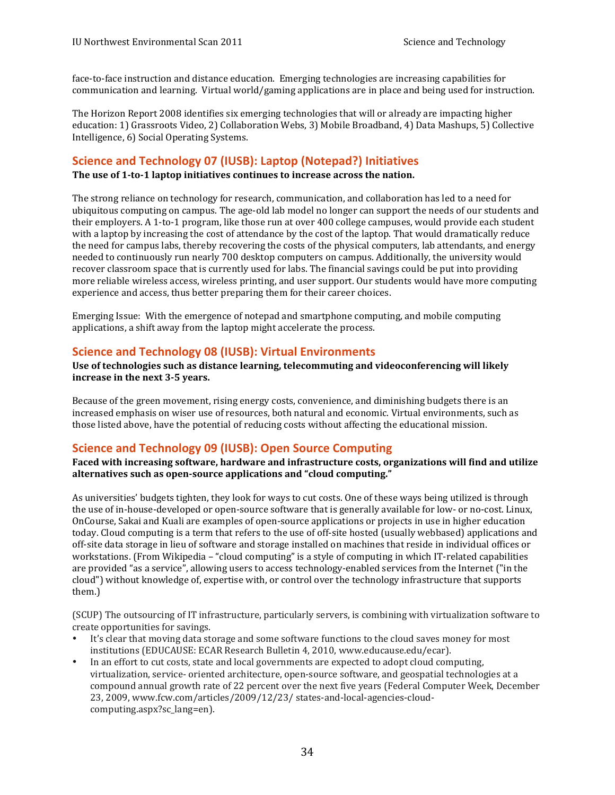<span id="page-33-0"></span>communication and learning. Virtual world/gaming applications are in place and being used for instruction. face-to-face instruction and distance education. Emerging technologies are increasing capabilities for 

The Horizon Report 2008 identifies six emerging technologies that will or already are impacting higher education: 1) Grassroots Video, 2) Collaboration Webs, 3) Mobile Broadband, 4) Data Mashups, 5) Collective Intelligence, 6) Social Operating Systems.

#### **Science and Technology 07 (IUSB): Laptop (Notepad?) Initiatives**

 **The use of 1-to-1 laptop initiatives continues to increase across the nation.**

The strong reliance on technology for research, communication, and collaboration has led to a need for ubiquitous computing on campus. The age-old lab model no longer can support the needs of our students and their employers. A 1-to-1 program, like those run at over 400 college campuses, would provide each student with a laptop by increasing the cost of attendance by the cost of the laptop. That would dramatically reduce the need for campus labs, thereby recovering the costs of the physical computers, lab attendants, and energy needed to continuously run nearly 700 desktop computers on campus. Additionally, the university would more reliable wireless access, wireless printing, and user support. Our students would have more computing experience and access, thus better preparing them for their career choices. recover classroom space that is currently used for labs. The financial savings could be put into providing

 Emerging Issue: With the emergence of notepad and smartphone computing, and mobile computing applications, a shift away from the laptop might accelerate the process.

#### **Science and Technology 08 (IUSB): Virtual Environments**

Use of technologies such as distance learning, telecommuting and videoconferencing will likely  **increase in the next 3-5 years.**

Because of the green movement, rising energy costs, convenience, and diminishing budgets there is an those listed above, have the potential of reducing costs without affecting the educational mission. increased emphasis on wiser use of resources, both natural and economic. Virtual environments, such as

### **Science and Technology 09 (IUSB): Open Source Computing**

 **Faced with increasing software, hardware and infrastructure costs, organizations will find and utilize alternatives such as open-source applications and "cloud computing."**

As universities' budgets tighten, they look for ways to cut costs. One of these ways being utilized is through the use of in-house-developed or open-source software that is generally available for low- or no-cost. Linux, OnCourse, Sakai and Kuali are examples of open-source applications or projects in use in higher education today. Cloud computing is a term that refers to the use of off-site hosted (usually webbased) applications and off-site data storage in lieu of software and storage installed on machines that reside in individual offices or workstations. (From Wikipedia – "cloud computing" is a style of computing in which IT-related capabilities are provided "as a service", allowing users to access technology-enabled services from the Internet ("in the cloud") without knowledge of, expertise with, or control over the technology infrastructure that supports them.)

(SCUP) The outsourcing of IT infrastructure, particularly servers, is combining with virtualization software to create opportunities for savings.

- It's clear that moving data storage and some software functions to the cloud saves money for most institutions (EDUCAUSE: ECAR Research Bulletin 4, 2010, www.educause.edu/ecar).
- In an effort to cut costs, state and local governments are expected to adopt cloud computing, virtualization, service- oriented architecture, open-source software, and geospatial technologies at a compound annual growth rate of 22 percent over the next five years (Federal Computer Week, December 23, 2009, www.fcw.com/articles/2009/12/23/ states-and-local-agencies-cloudcomputing.aspx?sc\_lang=en).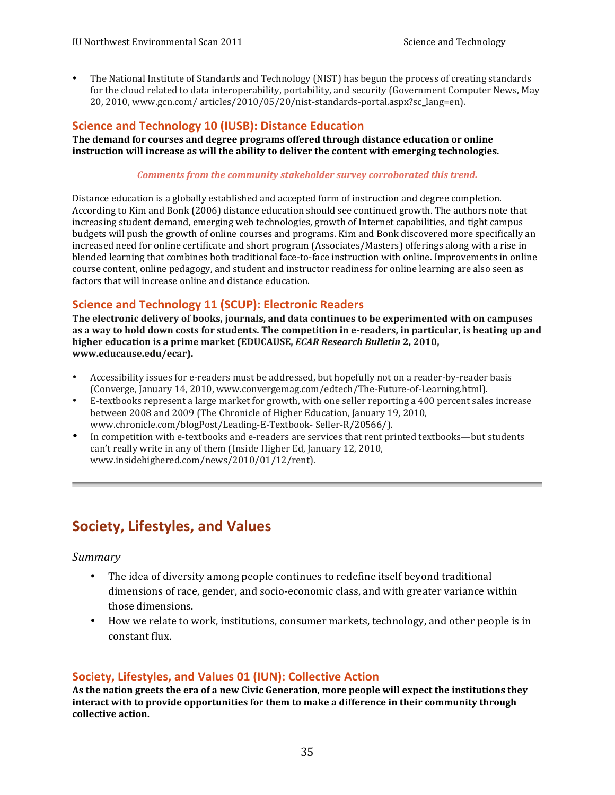<span id="page-34-0"></span>• The National Institute of Standards and Technology (NIST) has begun the process of creating standards 20, 2010, www.gcn.com/ articles/2010/05/20/nist-standards-portal.aspx?sc\_lang=en). for the cloud related to data interoperability, portability, and security (Government Computer News, May

### **Science and Technology 10 (IUSB): Distance Education**

 **The demand for courses and degree programs offered through distance education or online instruction will increase as will the ability to deliver the content with emerging technologies.**

#### *Comments from the community stakeholder survey corroborated this trend.*

Distance education is a globally established and accepted form of instruction and degree completion. According to Kim and Bonk (2006) distance education should see continued growth. The authors note that budgets will push the growth of online courses and programs. Kim and Bonk discovered more specifically an blended learning that combines both traditional face-to-face instruction with online. Improvements in online increasing student demand, emerging web technologies, growth of Internet capabilities, and tight campus increased need for online certificate and short program (Associates/Masters) offerings along with a rise in course content, online pedagogy, and student and instructor readiness for online learning are also seen as factors that will increase online and distance education.

### **Science and Technology 11 (SCUP): Electronic Readers**

 **The electronic delivery of books, journals, and data continues to be experimented with on campuses as a way to hold down costs for students. The competition in e-readers, in particular, is heating up and higher education is a prime market (EDUCAUSE,** *ECAR Research Bulletin* **2, 2010, www.educause.edu/ecar).**

- Accessibility issues for e-readers must be addressed, but hopefully not on a reader-by-reader basis (Converge, January 14, 2010, www.convergemag.com/edtech/The-Future-of-Learning.html).
- E-textbooks represent a large market for growth, with one seller reporting a 400 percent sales increase between 2008 and 2009 (The Chronicle of Higher Education, January 19, 2010, www.chronicle.com/blogPost/Leading-E-Textbook- Seller-R/20566/).
- In competition with e-textbooks and e-readers are services that rent printed textbooks—but students can't really write in any of them (Inside Higher Ed, January 12, 2010, www.insidehighered.com/news/2010/01/12/rent).

# **Society, Lifestyles, and Values**

#### *Summary*

- The idea of diversity among people continues to redefine itself beyond traditional dimensions of race, gender, and socio-economic class, and with greater variance within those dimensions.
- How we relate to work, institutions, consumer markets, technology, and other people is in constant flux.

#### **Society, Lifestyles, and Values 01 (IUN): Collective Action**

As the nation greets the era of a new Civic Generation, more people will expect the institutions they interact with to provide opportunities for them to make a difference in their community through **collective action.**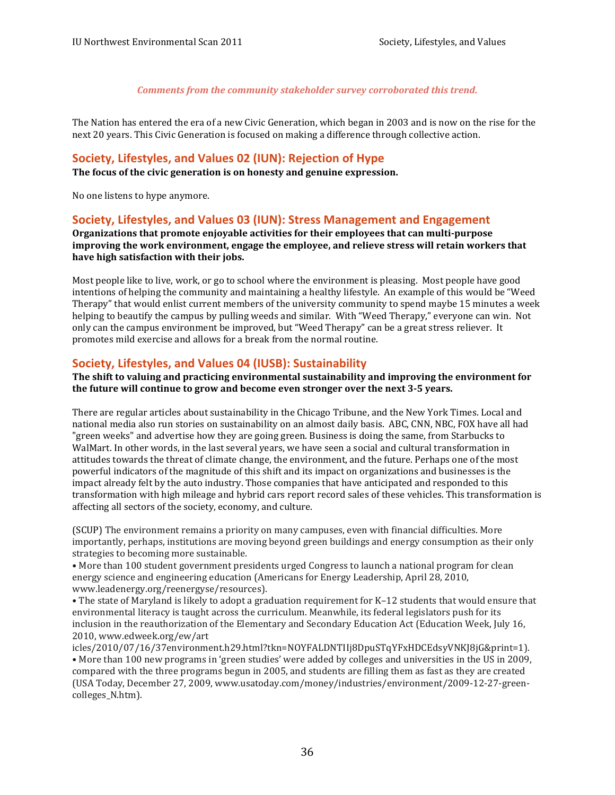*Comments from the community stakeholder survey corroborated this trend.*

<span id="page-35-0"></span>The Nation has entered the era of a new Civic Generation, which began in 2003 and is now on the rise for the next 20 years. This Civic Generation is focused on making a difference through collective action.

#### **Society, Lifestyles, and Values 02 (IUN): Rejection of Hype**

 **The focus of the civic generation is on honesty and genuine expression.**

No one listens to hype anymore.

#### **Society, Lifestyles, and Values 03 (IUN): Stress Management and Engagement**

 **Organizations that promote enjoyable activities for their employees that can multi-purpose improving the work environment, engage the employee, and relieve stress will retain workers that** have high satisfaction with their jobs.

 Most people like to live, work, or go to school where the environment is pleasing. Most people have good Therapy" that would enlist current members of the university community to spend maybe 15 minutes a week helping to beautify the campus by pulling weeds and similar. With "Weed Therapy," everyone can win. Not only can the campus environment be improved, but "Weed Therapy" can be a great stress reliever. It promotes mild exercise and allows for a break from the normal routine. intentions of helping the community and maintaining a healthy lifestyle. An example of this would be "Weed

#### **Society, Lifestyles, and Values 04 (IUSB): Sustainability**

 **The shift to valuing and practicing environmental sustainability and improving the environment for the future will continue to grow and become even stronger over the next 3-5 years.**

There are regular articles about sustainability in the Chicago Tribune, and the New York Times. Local and national media also run stories on sustainability on an almost daily basis. ABC, CNN, NBC, FOX have all had "green weeks" and advertise how they are going green. Business is doing the same, from Starbucks to WalMart. In other words, in the last several years, we have seen a social and cultural transformation in attitudes towards the threat of climate change, the environment, and the future. Perhaps one of the most powerful indicators of the magnitude of this shift and its impact on organizations and businesses is the transformation with high mileage and hybrid cars report record sales of these vehicles. This transformation is affecting all sectors of the society, economy, and culture. impact already felt by the auto industry. Those companies that have anticipated and responded to this

(SCUP) The environment remains a priority on many campuses, even with financial difficulties. More importantly, perhaps, institutions are moving beyond green buildings and energy consumption as their only strategies to becoming more sustainable.

• More than 100 student government presidents urged Congress to launch a national program for clean energy science and engineering education (Americans for Energy Leadership, April 28, 2010, www.leadenergy.org/reenergyse/resources).

• The state of Maryland is likely to adopt a graduation requirement for K–12 students that would ensure that environmental literacy is taught across the curriculum. Meanwhile, its federal legislators push for its inclusion in the reauthorization of the Elementary and Secondary Education Act (Education Week, July 16, 2010, www.edweek.org/ew/art

• More than 100 new programs in 'green studies' were added by colleges and universities in the US in 2009, compared with the three programs begun in 2005, and students are filling them as fast as they are created (USA Today, December 27, 2009, www.usatoday.com/money/industries/environment/2009-12-27-greenicles/2010/07/16/37environment.h29.html?tkn=NOYFALDNTIIj8DpuSTqYFxHDCEdsyVNKJ8jG&print=1). colleges\_N.htm).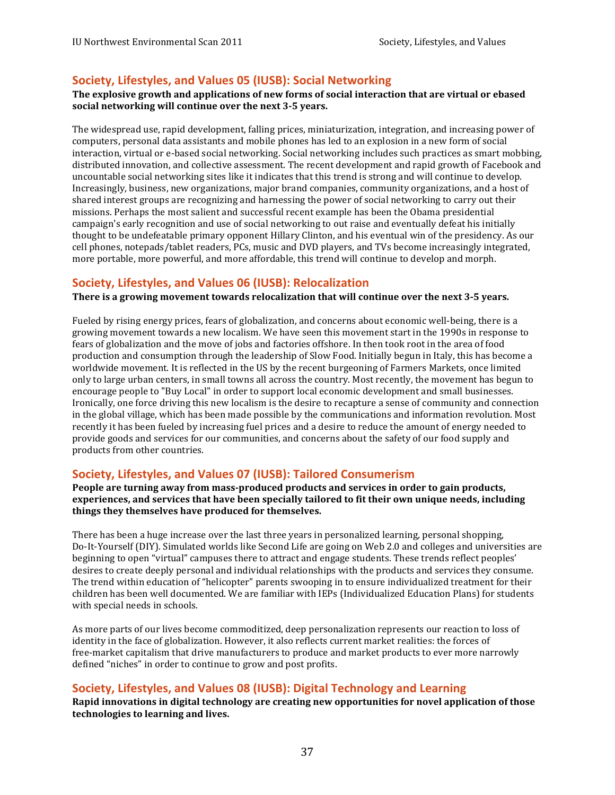### <span id="page-36-0"></span>**Society, Lifestyles, and Values 05 (IUSB): Social Networking**

#### The explosive growth and applications of new forms of social interaction that are virtual or ebased **social networking will continue over the next 3-5 years.**

The widespread use, rapid development, falling prices, miniaturization, integration, and increasing power of computers, personal data assistants and mobile phones has led to an explosion in a new form of social distributed innovation, and collective assessment. The recent development and rapid growth of Facebook and uncountable social networking sites like it indicates that this trend is strong and will continue to develop. Increasingly, business, new organizations, major brand companies, community organizations, and a host of shared interest groups are recognizing and harnessing the power of social networking to carry out their missions. Perhaps the most salient and successful recent example has been the Obama presidential campaign's early recognition and use of social networking to out raise and eventually defeat his initially thought to be undefeatable primary opponent Hillary Clinton, and his eventual win of the presidency. As our more portable, more powerful, and more affordable, this trend will continue to develop and morph. interaction, virtual or e-based social networking. Social networking includes such practices as smart mobbing, cell phones, notepads/tablet readers, PCs, music and DVD players, and TVs become increasingly integrated,

#### **Society, Lifestyles, and Values 06 (IUSB): Relocalization**

**There** is a growing movement towards relocalization that will continue over the next 3-5 years.

Fueled by rising energy prices, fears of globalization, and concerns about economic well-being, there is a growing movement towards a new localism. We have seen this movement start in the 1990s in response to production and consumption through the leadership of Slow Food. Initially begun in Italy, this has become a worldwide movement. It is reflected in the US by the recent burgeoning of Farmers Markets, once limited only to large urban centers, in small towns all across the country. Most recently, the movement has begun to encourage people to "Buy Local" in order to support local economic development and small businesses. Ironically, one force driving this new localism is the desire to recapture a sense of community and connection in the global village, which has been made possible by the communications and information revolution. Most provide goods and services for our communities, and concerns about the safety of our food supply and products from other countries. fears of globalization and the move of jobs and factories offshore. In then took root in the area of food recently it has been fueled by increasing fuel prices and a desire to reduce the amount of energy needed to

#### **Society, Lifestyles, and Values 07 (IUSB): Tailored Consumerism**

 **People are turning away from mass-produced products and services in order to gain products, experiences, and services that have been specially tailored to fit their own unique needs, including things they themselves have produced for themselves.**

There has been a huge increase over the last three years in personalized learning, personal shopping, Do-It-Yourself (DIY). Simulated worlds like Second Life are going on Web 2.0 and colleges and universities are beginning to open "virtual" campuses there to attract and engage students. These trends reflect peoples' The trend within education of "helicopter" parents swooping in to ensure individualized treatment for their children has been well documented. We are familiar with IEPs (Individualized Education Plans) for students with special needs in schools. desires to create deeply personal and individual relationships with the products and services they consume.

As more parts of our lives become commoditized, deep personalization represents our reaction to loss of defined "niches" in order to continue to grow and post profits. identity in the face of globalization. However, it also reflects current market realities: the forces of free-market capitalism that drive manufacturers to produce and market products to ever more narrowly

#### **Society, Lifestyles, and Values 08 (IUSB): Digital Technology and Learning**

 **Rapid innovations in digital technology are creating new opportunities for novel application of those technologies to learning and lives.**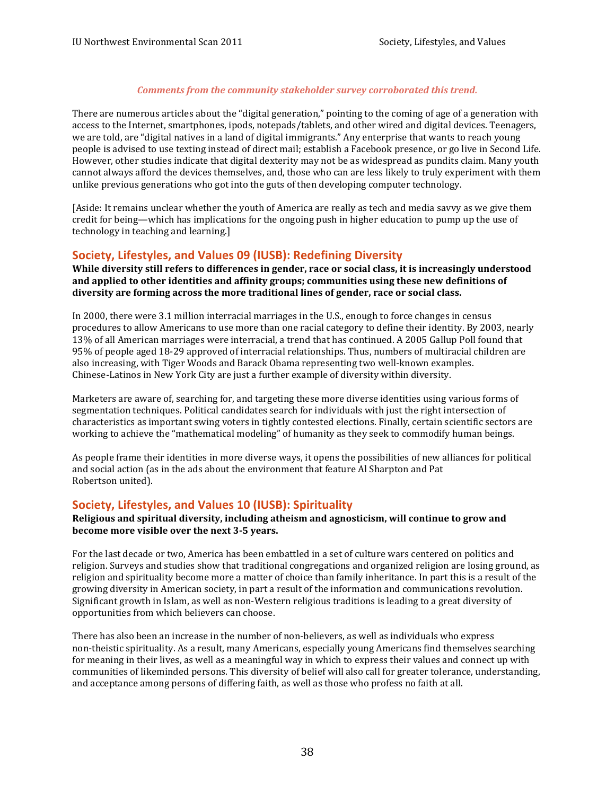#### *Comments from the community stakeholder survey corroborated this trend.*

<span id="page-37-0"></span>There are numerous articles about the "digital generation," pointing to the coming of age of a generation with access to the Internet, smartphones, ipods, notepads/tablets, and other wired and digital devices. Teenagers, we are told, are "digital natives in a land of digital immigrants." Any enterprise that wants to reach young people is advised to use texting instead of direct mail; establish a Facebook presence, or go live in Second Life. However, other studies indicate that digital dexterity may not be as widespread as pundits claim. Many youth cannot always afford the devices themselves, and, those who can are less likely to truly experiment with them unlike previous generations who got into the guts of then developing computer technology.

[Aside: It remains unclear whether the youth of America are really as tech and media savvy as we give them credit for being—which has implications for the ongoing push in higher education to pump up the use of technology in teaching and learning.]

#### **Society, Lifestyles, and Values 09 (IUSB): Redefining Diversity**

While diversity still refers to differences in gender, race or social class, it is increasingly understood  **and applied to other identities and affinity groups; communities using these new definitions of diversity are forming across the more traditional lines of gender, race or social class.**

In 2000, there were 3.1 million interracial marriages in the U.S., enough to force changes in census procedures to allow Americans to use more than one racial category to define their identity. By 2003, nearly 13% of all American marriages were interracial, a trend that has continued. A 2005 Gallup Poll found that 95% of people aged 18-29 approved of interracial relationships. Thus, numbers of multiracial children are also increasing, with Tiger Woods and Barack Obama representing two well-known examples. Chinese-Latinos in New York City are just a further example of diversity within diversity.

 Marketers are aware of, searching for, and targeting these more diverse identities using various forms of segmentation techniques. Political candidates search for individuals with just the right intersection of characteristics as important swing voters in tightly contested elections. Finally, certain scientific sectors are working to achieve the "mathematical modeling" of humanity as they seek to commodify human beings.

As people frame their identities in more diverse ways, it opens the possibilities of new alliances for political and social action (as in the ads about the environment that feature Al Sharpton and Pat Robertson united).

#### **Society, Lifestyles, and Values 10 (IUSB): Spirituality**

#### **Religious and spiritual diversity, including atheism and agnosticism, will continue to grow and become more visible over the next 3-5 years.**

For the last decade or two, America has been embattled in a set of culture wars centered on politics and religion. Surveys and studies show that traditional congregations and organized religion are losing ground, as growing diversity in American society, in part a result of the information and communications revolution. Significant growth in Islam, as well as non-Western religious traditions is leading to a great diversity of opportunities from which believers can choose. religion and spirituality become more a matter of choice than family inheritance. In part this is a result of the

There has also been an increase in the number of non-believers, as well as individuals who express non-theistic spirituality. As a result, many Americans, especially young Americans find themselves searching and acceptance among persons of differing faith, as well as those who profess no faith at all. for meaning in their lives, as well as a meaningful way in which to express their values and connect up with communities of likeminded persons. This diversity of belief will also call for greater tolerance, understanding,